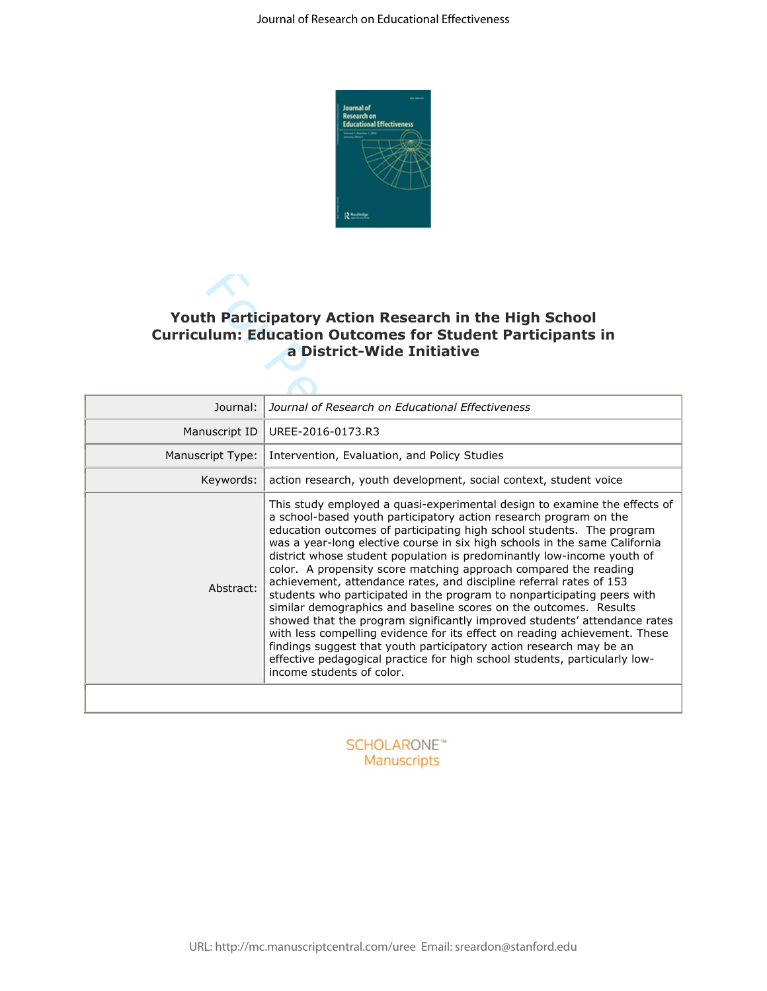

# **Youth Participatory Action Research in the High School Curriculum: Education Outcomes for Student Participants in a District-Wide Initiative**

| <b>Youth Participatory Action Research in the High School</b><br><b>Curriculum: Education Outcomes for Student Participants in</b><br>a District-Wide Initiative |                                                                                                                                                                                                                                                                                                                                                                                                                                                                                                                                                                                                                                                                                                                                                                                                                                                                                                                                                                                                                         |  |  |  |  |  |  |
|------------------------------------------------------------------------------------------------------------------------------------------------------------------|-------------------------------------------------------------------------------------------------------------------------------------------------------------------------------------------------------------------------------------------------------------------------------------------------------------------------------------------------------------------------------------------------------------------------------------------------------------------------------------------------------------------------------------------------------------------------------------------------------------------------------------------------------------------------------------------------------------------------------------------------------------------------------------------------------------------------------------------------------------------------------------------------------------------------------------------------------------------------------------------------------------------------|--|--|--|--|--|--|
| Journal:                                                                                                                                                         | Journal of Research on Educational Effectiveness                                                                                                                                                                                                                                                                                                                                                                                                                                                                                                                                                                                                                                                                                                                                                                                                                                                                                                                                                                        |  |  |  |  |  |  |
| Manuscript ID                                                                                                                                                    | UREE-2016-0173.R3                                                                                                                                                                                                                                                                                                                                                                                                                                                                                                                                                                                                                                                                                                                                                                                                                                                                                                                                                                                                       |  |  |  |  |  |  |
| Manuscript Type:                                                                                                                                                 | Intervention, Evaluation, and Policy Studies                                                                                                                                                                                                                                                                                                                                                                                                                                                                                                                                                                                                                                                                                                                                                                                                                                                                                                                                                                            |  |  |  |  |  |  |
| Keywords:                                                                                                                                                        | action research, youth development, social context, student voice                                                                                                                                                                                                                                                                                                                                                                                                                                                                                                                                                                                                                                                                                                                                                                                                                                                                                                                                                       |  |  |  |  |  |  |
| Abstract:                                                                                                                                                        | This study employed a quasi-experimental design to examine the effects of<br>a school-based youth participatory action research program on the<br>education outcomes of participating high school students. The program<br>was a year-long elective course in six high schools in the same California<br>district whose student population is predominantly low-income youth of<br>color. A propensity score matching approach compared the reading<br>achievement, attendance rates, and discipline referral rates of 153<br>students who participated in the program to nonparticipating peers with<br>similar demographics and baseline scores on the outcomes. Results<br>showed that the program significantly improved students' attendance rates<br>with less compelling evidence for its effect on reading achievement. These<br>findings suggest that youth participatory action research may be an<br>effective pedagogical practice for high school students, particularly low-<br>income students of color. |  |  |  |  |  |  |
|                                                                                                                                                                  |                                                                                                                                                                                                                                                                                                                                                                                                                                                                                                                                                                                                                                                                                                                                                                                                                                                                                                                                                                                                                         |  |  |  |  |  |  |

## **SCHOLARONE™** Manuscripts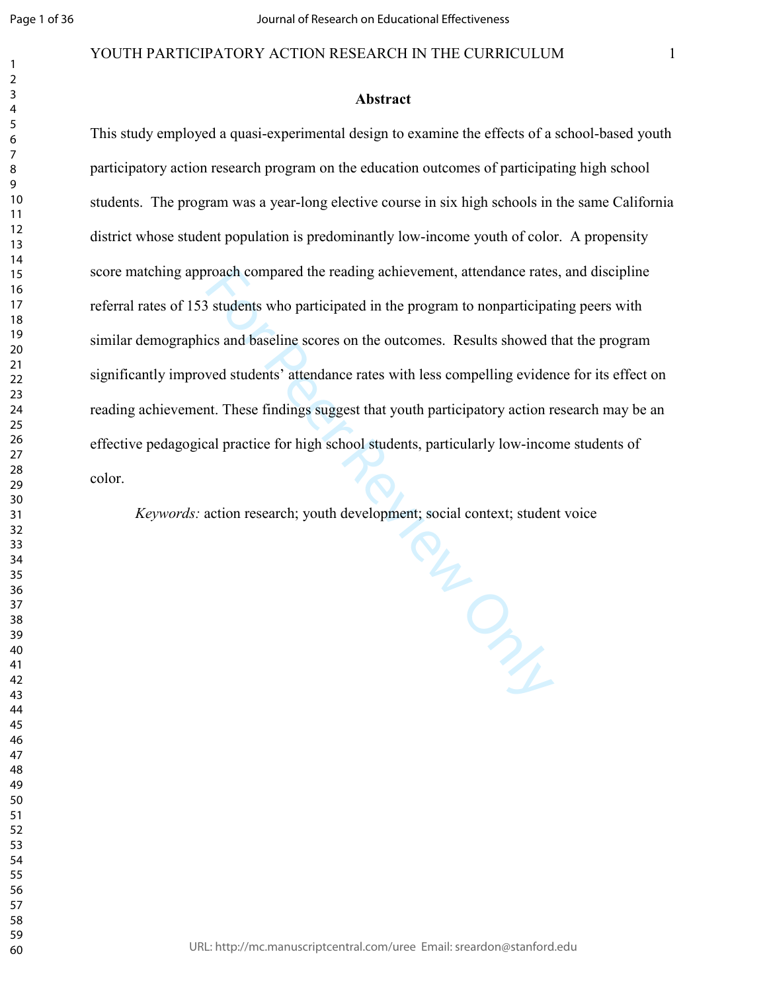#### YOUTH PARTICIPATORY ACTION RESEARCH IN THE CURRICULUM 1

#### **Abstract**

This study employed a quasi-experimental design to examine the effects of a school-based youth participatory action research program on the education outcomes of participating high school students. The program was a year-long elective course in six high schools in the same California district whose student population is predominantly low-income youth of color. A propensity score matching approach compared the reading achievement, attendance rates, and discipline referral rates of 153 students who participated in the program to nonparticipating peers with similar demographics and baseline scores on the outcomes. Results showed that the program significantly improved students' attendance rates with less compelling evidence for its effect on reading achievement. These findings suggest that youth participatory action research may be an effective pedagogical practice for high school students, particularly low-income students of color.

*Keywords:* action research; youth development; social context; student voice

**PLANCE**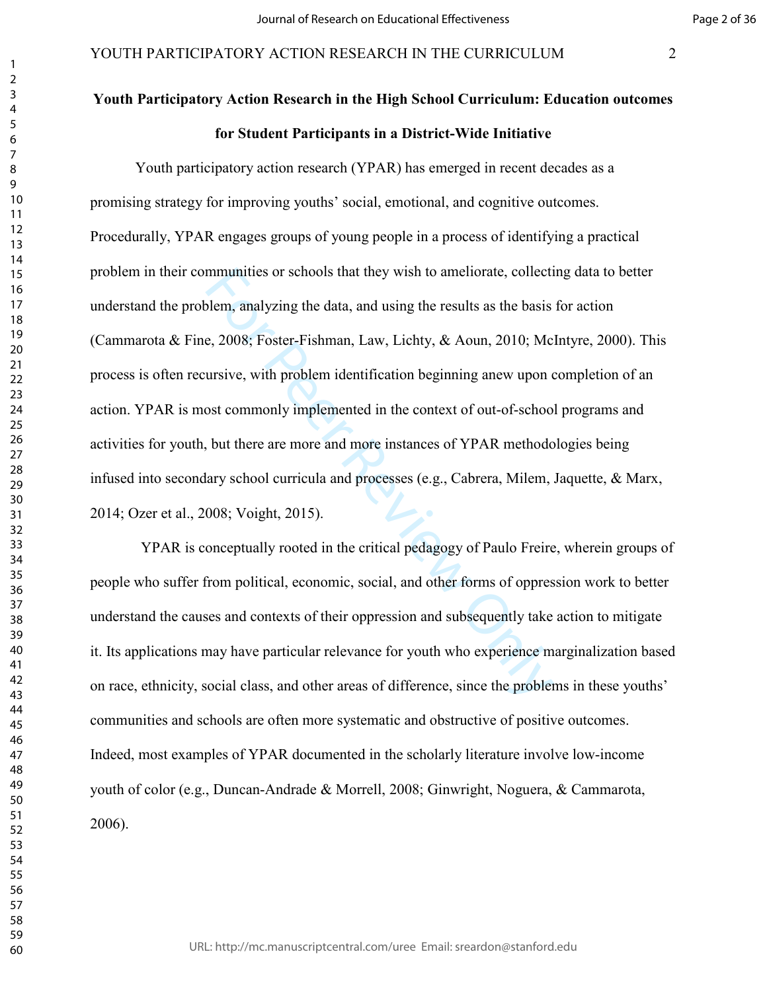# **Youth Participatory Action Research in the High School Curriculum: Education outcomes**

**for Student Participants in a District-Wide Initiative** 

mmunities or schools that they wish to ameliorate, collectivellem, analyzing the data, and using the results as the basis e, 2008; Foster-Fishman, Law, Lichty, & Aoun, 2010; Me ursive, with problem identification beginning Youth participatory action research (YPAR) has emerged in recent decades as a promising strategy for improving youths' social, emotional, and cognitive outcomes. Procedurally, YPAR engages groups of young people in a process of identifying a practical problem in their communities or schools that they wish to ameliorate, collecting data to better understand the problem, analyzing the data, and using the results as the basis for action (Cammarota & Fine, 2008; Foster-Fishman, Law, Lichty, & Aoun, 2010; McIntyre, 2000). This process is often recursive, with problem identification beginning anew upon completion of an action. YPAR is most commonly implemented in the context of out-of-school programs and activities for youth, but there are more and more instances of YPAR methodologies being infused into secondary school curricula and processes (e.g., Cabrera, Milem, Jaquette, & Marx, 2014; Ozer et al., 2008; Voight, 2015).

 YPAR is conceptually rooted in the critical pedagogy of Paulo Freire, wherein groups of people who suffer from political, economic, social, and other forms of oppression work to better understand the causes and contexts of their oppression and subsequently take action to mitigate it. Its applications may have particular relevance for youth who experience marginalization based on race, ethnicity, social class, and other areas of difference, since the problems in these youths' communities and schools are often more systematic and obstructive of positive outcomes. Indeed, most examples of YPAR documented in the scholarly literature involve low-income youth of color (e.g., Duncan-Andrade & Morrell, 2008; Ginwright, Noguera, & Cammarota, 2006).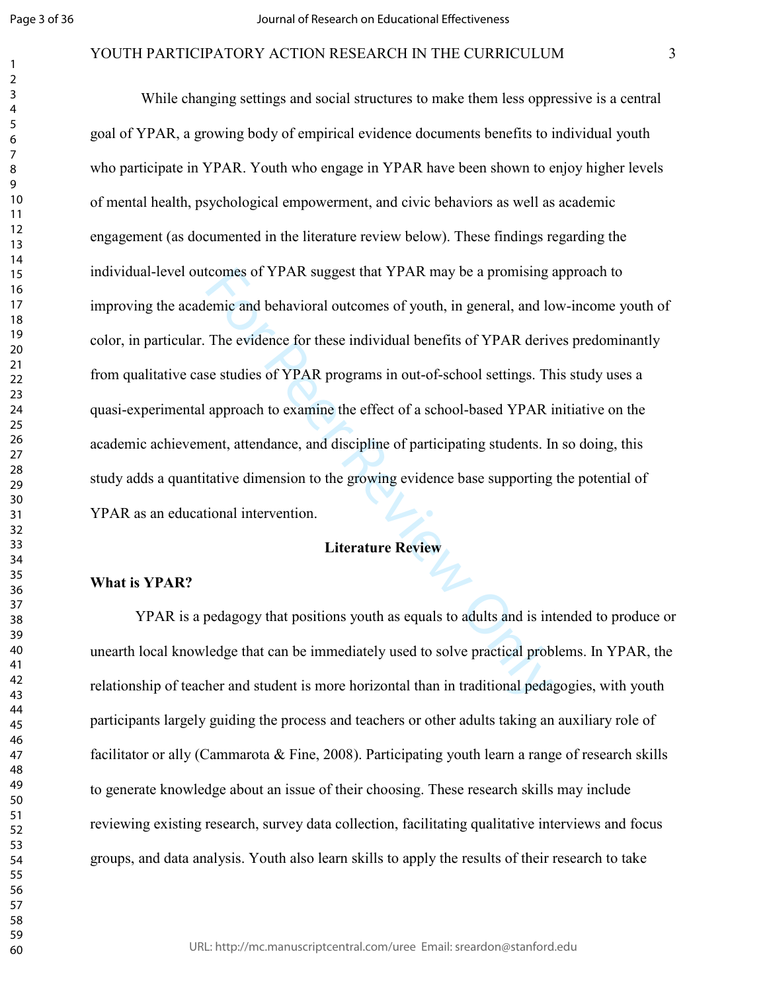#### YOUTH PARTICIPATORY ACTION RESEARCH IN THE CURRICULUM 3

tcomes of YPAR suggest that YPAR may be a promising a<br>emic and behavioral outcomes of youth, in general, and lo<br>The evidence for these individual benefits of YPAR derive<br>se studies of YPAR programs in out-of-school setting While changing settings and social structures to make them less oppressive is a central goal of YPAR, a growing body of empirical evidence documents benefits to individual youth who participate in YPAR. Youth who engage in YPAR have been shown to enjoy higher levels of mental health, psychological empowerment, and civic behaviors as well as academic engagement (as documented in the literature review below). These findings regarding the individual-level outcomes of YPAR suggest that YPAR may be a promising approach to improving the academic and behavioral outcomes of youth, in general, and low-income youth of color, in particular. The evidence for these individual benefits of YPAR derives predominantly from qualitative case studies of YPAR programs in out-of-school settings. This study uses a quasi-experimental approach to examine the effect of a school-based YPAR initiative on the academic achievement, attendance, and discipline of participating students. In so doing, this study adds a quantitative dimension to the growing evidence base supporting the potential of YPAR as an educational intervention.

# **Literature Review**

#### **What is YPAR?**

YPAR is a pedagogy that positions youth as equals to adults and is intended to produce or unearth local knowledge that can be immediately used to solve practical problems. In YPAR, the relationship of teacher and student is more horizontal than in traditional pedagogies, with youth participants largely guiding the process and teachers or other adults taking an auxiliary role of facilitator or ally (Cammarota  $\&$  Fine, 2008). Participating youth learn a range of research skills to generate knowledge about an issue of their choosing. These research skills may include reviewing existing research, survey data collection, facilitating qualitative interviews and focus groups, and data analysis. Youth also learn skills to apply the results of their research to take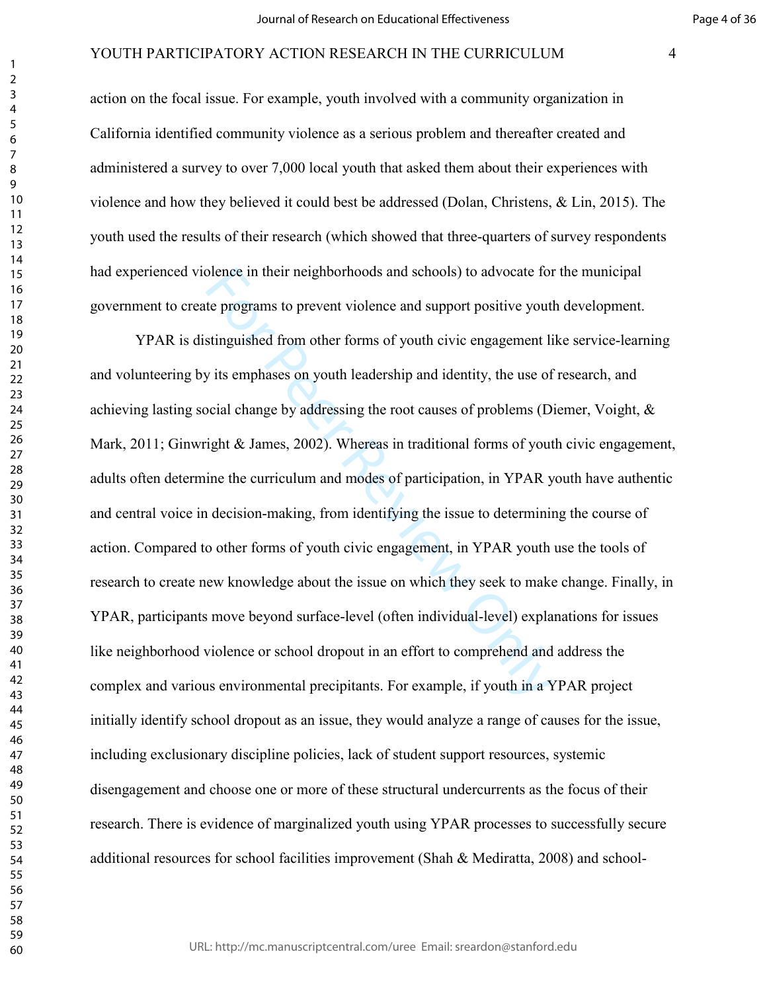action on the focal issue. For example, youth involved with a community organization in California identified community violence as a serious problem and thereafter created and administered a survey to over 7,000 local youth that asked them about their experiences with violence and how they believed it could best be addressed (Dolan, Christens, & Lin, 2015). The youth used the results of their research (which showed that three-quarters of survey respondents had experienced violence in their neighborhoods and schools) to advocate for the municipal government to create programs to prevent violence and support positive youth development.

blence in their neighborhoods and schools) to advocate for<br>te programs to prevent violence and support positive youth<br>stinguished from other forms of youth civic engagement li<br>y its emphases on youth leadership and identit YPAR is distinguished from other forms of youth civic engagement like service-learning and volunteering by its emphases on youth leadership and identity, the use of research, and achieving lasting social change by addressing the root causes of problems (Diemer, Voight, & Mark, 2011; Ginwright & James, 2002). Whereas in traditional forms of youth civic engagement, adults often determine the curriculum and modes of participation, in YPAR youth have authentic and central voice in decision-making, from identifying the issue to determining the course of action. Compared to other forms of youth civic engagement, in YPAR youth use the tools of research to create new knowledge about the issue on which they seek to make change. Finally, in YPAR, participants move beyond surface-level (often individual-level) explanations for issues like neighborhood violence or school dropout in an effort to comprehend and address the complex and various environmental precipitants. For example, if youth in a YPAR project initially identify school dropout as an issue, they would analyze a range of causes for the issue, including exclusionary discipline policies, lack of student support resources, systemic disengagement and choose one or more of these structural undercurrents as the focus of their research. There is evidence of marginalized youth using YPAR processes to successfully secure additional resources for school facilities improvement (Shah & Mediratta, 2008) and school-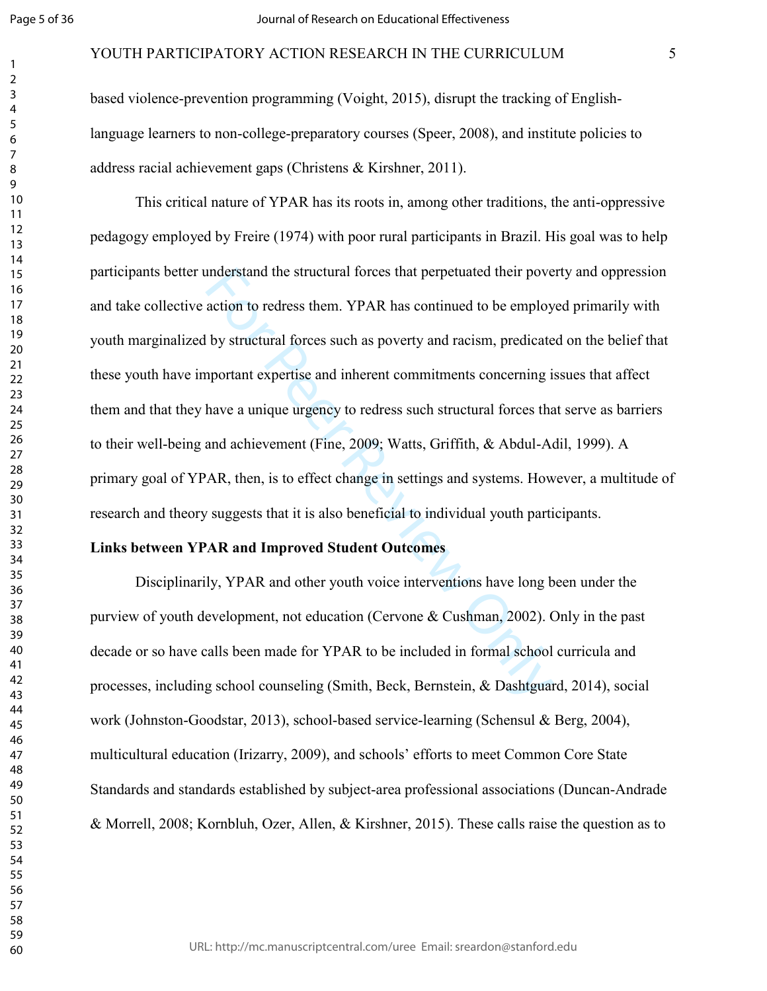#### YOUTH PARTICIPATORY ACTION RESEARCH IN THE CURRICULUM 5

based violence-prevention programming (Voight, 2015), disrupt the tracking of Englishlanguage learners to non-college-preparatory courses (Speer, 2008), and institute policies to address racial achievement gaps (Christens & Kirshner, 2011).

anderstand the structural forces that perpetuated their pove<br>action to redress them. YPAR has continued to be employ<br>by structural forces such as poverty and racism, predicate<br>aportant expertise and inherent commitments co This critical nature of YPAR has its roots in, among other traditions, the anti-oppressive pedagogy employed by Freire (1974) with poor rural participants in Brazil. His goal was to help participants better understand the structural forces that perpetuated their poverty and oppression and take collective action to redress them. YPAR has continued to be employed primarily with youth marginalized by structural forces such as poverty and racism, predicated on the belief that these youth have important expertise and inherent commitments concerning issues that affect them and that they have a unique urgency to redress such structural forces that serve as barriers to their well-being and achievement (Fine, 2009; Watts, Griffith, & Abdul-Adil, 1999). A primary goal of YPAR, then, is to effect change in settings and systems. However, a multitude of research and theory suggests that it is also beneficial to individual youth participants.

#### **Links between YPAR and Improved Student Outcomes**

Disciplinarily, YPAR and other youth voice interventions have long been under the purview of youth development, not education (Cervone & Cushman, 2002). Only in the past decade or so have calls been made for YPAR to be included in formal school curricula and processes, including school counseling (Smith, Beck, Bernstein, & Dashtguard, 2014), social work (Johnston-Goodstar, 2013), school-based service-learning (Schensul & Berg, 2004), multicultural education (Irizarry, 2009), and schools' efforts to meet Common Core State Standards and standards established by subject-area professional associations (Duncan-Andrade & Morrell, 2008; Kornbluh, Ozer, Allen, & Kirshner, 2015). These calls raise the question as to

URL: http://mc.manuscriptcentral.com/uree Email: sreardon@stanford.edu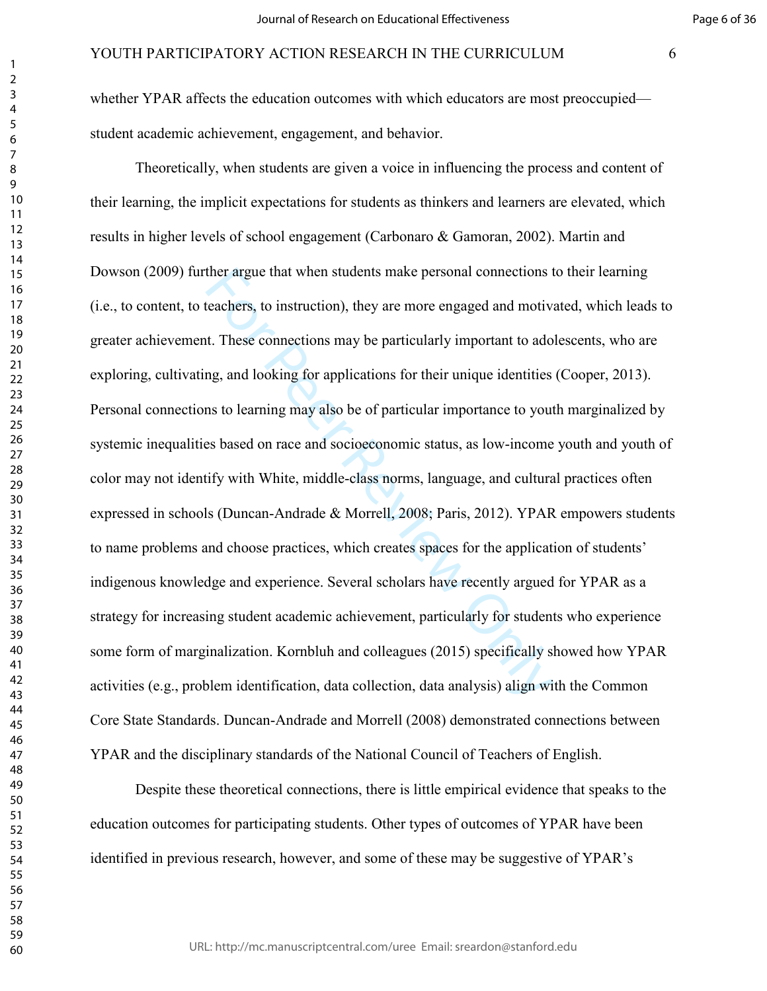whether YPAR affects the education outcomes with which educators are most preoccupied student academic achievement, engagement, and behavior.

ther argue that when students make personal connections the<br>achers, to instruction), they are more engaged and motiv.<br>t. These connections may be particularly important to ado<br>ng, and looking for applications for their uni Theoretically, when students are given a voice in influencing the process and content of their learning, the implicit expectations for students as thinkers and learners are elevated, which results in higher levels of school engagement (Carbonaro & Gamoran, 2002). Martin and Dowson (2009) further argue that when students make personal connections to their learning (i.e., to content, to teachers, to instruction), they are more engaged and motivated, which leads to greater achievement. These connections may be particularly important to adolescents, who are exploring, cultivating, and looking for applications for their unique identities (Cooper, 2013). Personal connections to learning may also be of particular importance to youth marginalized by systemic inequalities based on race and socioeconomic status, as low-income youth and youth of color may not identify with White, middle-class norms, language, and cultural practices often expressed in schools (Duncan-Andrade & Morrell, 2008; Paris, 2012). YPAR empowers students to name problems and choose practices, which creates spaces for the application of students' indigenous knowledge and experience. Several scholars have recently argued for YPAR as a strategy for increasing student academic achievement, particularly for students who experience some form of marginalization. Kornbluh and colleagues (2015) specifically showed how YPAR activities (e.g., problem identification, data collection, data analysis) align with the Common Core State Standards. Duncan-Andrade and Morrell (2008) demonstrated connections between YPAR and the disciplinary standards of the National Council of Teachers of English.

Despite these theoretical connections, there is little empirical evidence that speaks to the education outcomes for participating students. Other types of outcomes of YPAR have been identified in previous research, however, and some of these may be suggestive of YPAR's

URL: http://mc.manuscriptcentral.com/uree Email: sreardon@stanford.edu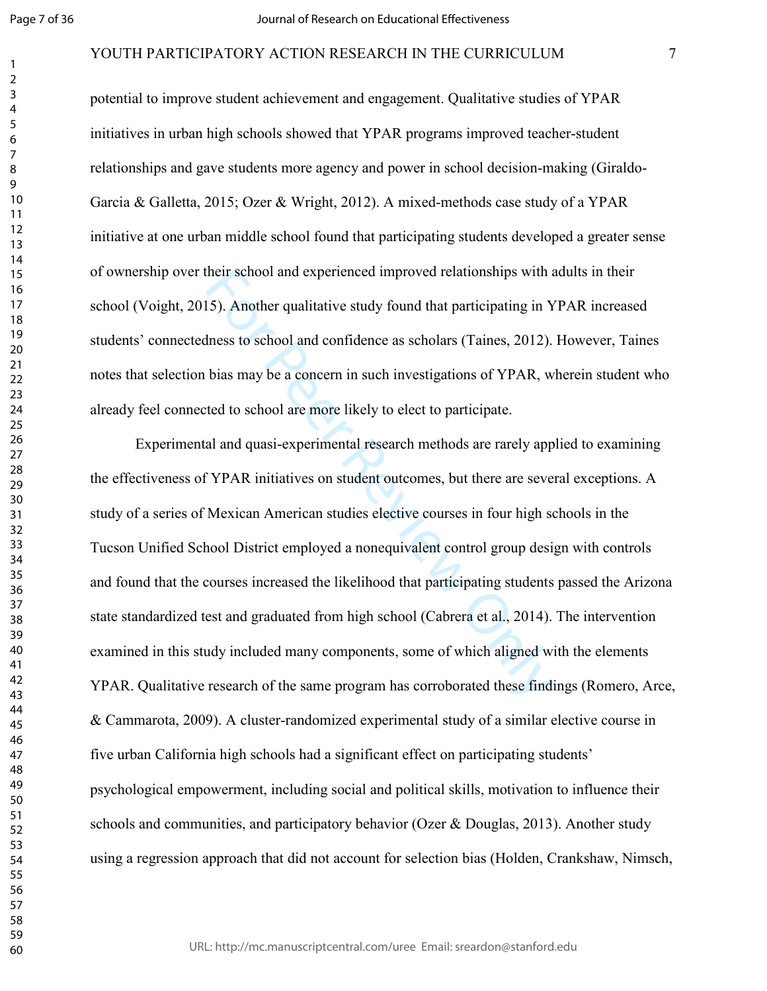#### YOUTH PARTICIPATORY ACTION RESEARCH IN THE CURRICULUM 7

potential to improve student achievement and engagement. Qualitative studies of YPAR initiatives in urban high schools showed that YPAR programs improved teacher-student relationships and gave students more agency and power in school decision-making (Giraldo-Garcia & Galletta, 2015; Ozer & Wright, 2012). A mixed-methods case study of a YPAR initiative at one urban middle school found that participating students developed a greater sense of ownership over their school and experienced improved relationships with adults in their school (Voight, 2015). Another qualitative study found that participating in YPAR increased students' connectedness to school and confidence as scholars (Taines, 2012). However, Taines notes that selection bias may be a concern in such investigations of YPAR, wherein student who already feel connected to school are more likely to elect to participate.

their school and experienced improved relationships with a<br>15). Another qualitative study found that participating in Y<br>thess to school and confidence as scholars (Taines, 2012).<br>bias may be a concern in such investigation Experimental and quasi-experimental research methods are rarely applied to examining the effectiveness of YPAR initiatives on student outcomes, but there are several exceptions. A study of a series of Mexican American studies elective courses in four high schools in the Tucson Unified School District employed a nonequivalent control group design with controls and found that the courses increased the likelihood that participating students passed the Arizona state standardized test and graduated from high school (Cabrera et al., 2014). The intervention examined in this study included many components, some of which aligned with the elements YPAR. Qualitative research of the same program has corroborated these findings (Romero, Arce, & Cammarota, 2009). A cluster-randomized experimental study of a similar elective course in five urban California high schools had a significant effect on participating students' psychological empowerment, including social and political skills, motivation to influence their schools and communities, and participatory behavior (Ozer & Douglas, 2013). Another study using a regression approach that did not account for selection bias (Holden, Crankshaw, Nimsch,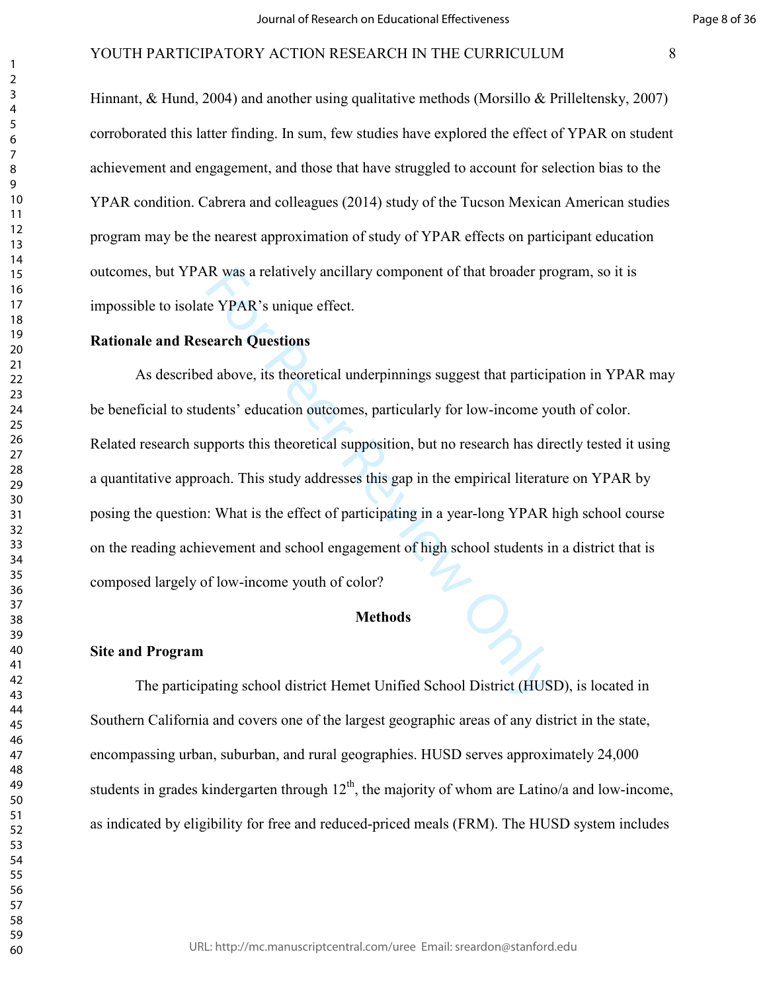Hinnant, & Hund, 2004) and another using qualitative methods (Morsillo & Prilleltensky, 2007) corroborated this latter finding. In sum, few studies have explored the effect of YPAR on student achievement and engagement, and those that have struggled to account for selection bias to the YPAR condition. Cabrera and colleagues (2014) study of the Tucson Mexican American studies program may be the nearest approximation of study of YPAR effects on participant education outcomes, but YPAR was a relatively ancillary component of that broader program, so it is impossible to isolate YPAR's unique effect.

#### **Rationale and Research Questions**

R was a relatively ancillary component of that broader pro<br>
expect PPAR's unique effect.<br>
Exerch Questions<br>
d above, its theoretical underpinnings suggest that particip<br>
dents' education outcomes, particularly for low-inco As described above, its theoretical underpinnings suggest that participation in YPAR may be beneficial to students' education outcomes, particularly for low-income youth of color. Related research supports this theoretical supposition, but no research has directly tested it using a quantitative approach. This study addresses this gap in the empirical literature on YPAR by posing the question: What is the effect of participating in a year-long YPAR high school course on the reading achievement and school engagement of high school students in a district that is composed largely of low-income youth of color?

#### **Methods**

#### **Site and Program**

The participating school district Hemet Unified School District (HUSD), is located in Southern California and covers one of the largest geographic areas of any district in the state, encompassing urban, suburban, and rural geographies. HUSD serves approximately 24,000 students in grades kindergarten through  $12<sup>th</sup>$ , the majority of whom are Latino/a and low-income, as indicated by eligibility for free and reduced-priced meals (FRM). The HUSD system includes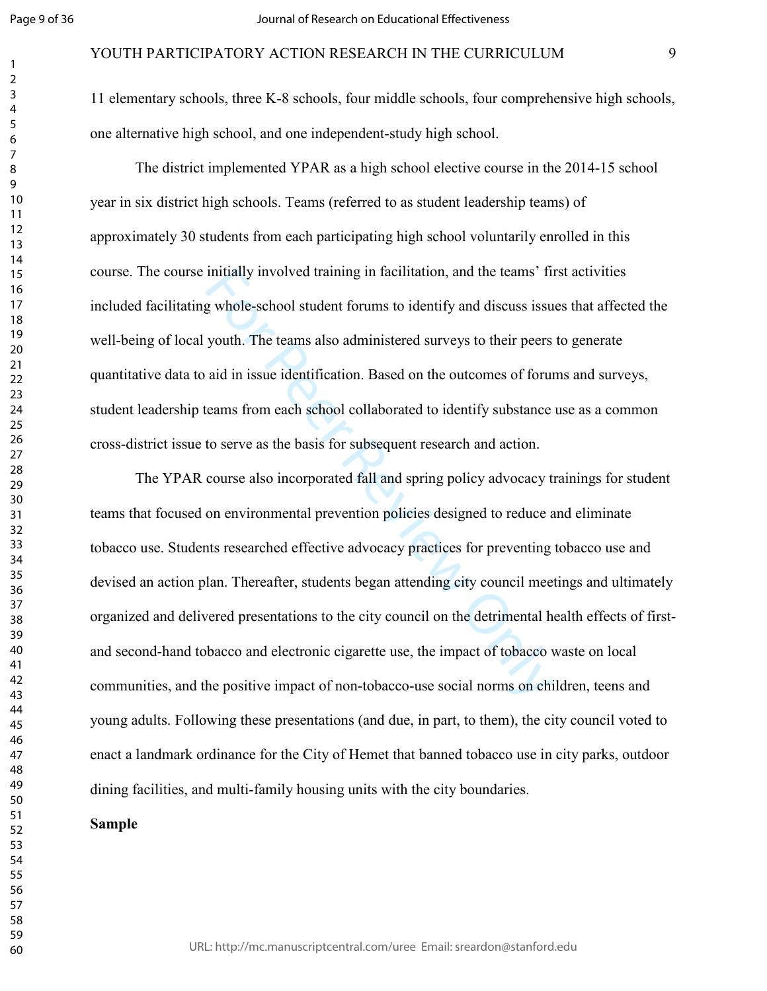$\mathbf{1}$  $\overline{2}$ 

#### YOUTH PARTICIPATORY ACTION RESEARCH IN THE CURRICULUM 9

11 elementary schools, three K-8 schools, four middle schools, four comprehensive high schools, one alternative high school, and one independent-study high school.

The district implemented YPAR as a high school elective course in the 2014-15 school year in six district high schools. Teams (referred to as student leadership teams) of approximately 30 students from each participating high school voluntarily enrolled in this course. The course initially involved training in facilitation, and the teams' first activities included facilitating whole-school student forums to identify and discuss issues that affected the well-being of local youth. The teams also administered surveys to their peers to generate quantitative data to aid in issue identification. Based on the outcomes of forums and surveys, student leadership teams from each school collaborated to identify substance use as a common cross-district issue to serve as the basis for subsequent research and action.

Initially involved training in facilitation, and the teams' first<br>g whole-school student forums to identify and discuss issu<br>youth. The teams also administered surveys to their peers<br>aid in issue identification. Based on t The YPAR course also incorporated fall and spring policy advocacy trainings for student teams that focused on environmental prevention policies designed to reduce and eliminate tobacco use. Students researched effective advocacy practices for preventing tobacco use and devised an action plan. Thereafter, students began attending city council meetings and ultimately organized and delivered presentations to the city council on the detrimental health effects of firstand second-hand tobacco and electronic cigarette use, the impact of tobacco waste on local communities, and the positive impact of non-tobacco-use social norms on children, teens and young adults. Following these presentations (and due, in part, to them), the city council voted to enact a landmark ordinance for the City of Hemet that banned tobacco use in city parks, outdoor dining facilities, and multi-family housing units with the city boundaries.

#### **Sample**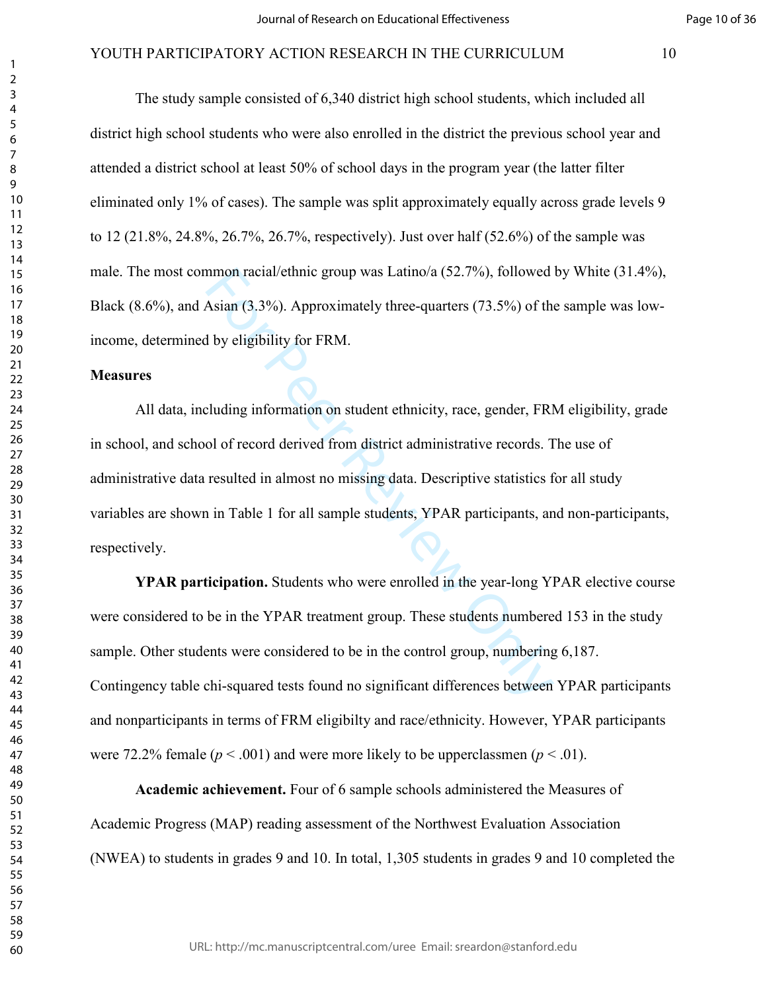The study sample consisted of 6,340 district high school students, which included all district high school students who were also enrolled in the district the previous school year and attended a district school at least 50% of school days in the program year (the latter filter eliminated only 1% of cases). The sample was split approximately equally across grade levels 9 to 12 (21.8%, 24.8%, 26.7%, 26.7%, respectively). Just over half (52.6%) of the sample was male. The most common racial/ethnic group was Latino/a (52.7%), followed by White (31.4%), Black (8.6%), and Asian (3.3%). Approximately three-quarters (73.5%) of the sample was lowincome, determined by eligibility for FRM.

#### **Measures**

mmon racial/ethnic group was Latino/a (52.7%), followed<br>Asian (3.3%). Approximately three-quarters (73.5%) of the<br>By eligibility for FRM.<br>Leluding information on student ethnicity, race, gender, FRP<br>of of record derived fr All data, including information on student ethnicity, race, gender, FRM eligibility, grade in school, and school of record derived from district administrative records. The use of administrative data resulted in almost no missing data. Descriptive statistics for all study variables are shown in Table 1 for all sample students, YPAR participants, and non-participants, respectively.

**YPAR participation.** Students who were enrolled in the year-long YPAR elective course were considered to be in the YPAR treatment group. These students numbered 153 in the study sample. Other students were considered to be in the control group, numbering 6,187. Contingency table chi-squared tests found no significant differences between YPAR participants and nonparticipants in terms of FRM eligibilty and race/ethnicity. However, YPAR participants were 72.2% female  $(p < .001)$  and were more likely to be upperclassmen  $(p < .01)$ .

**Academic achievement.** Four of 6 sample schools administered the Measures of Academic Progress (MAP) reading assessment of the Northwest Evaluation Association (NWEA) to students in grades 9 and 10. In total, 1,305 students in grades 9 and 10 completed the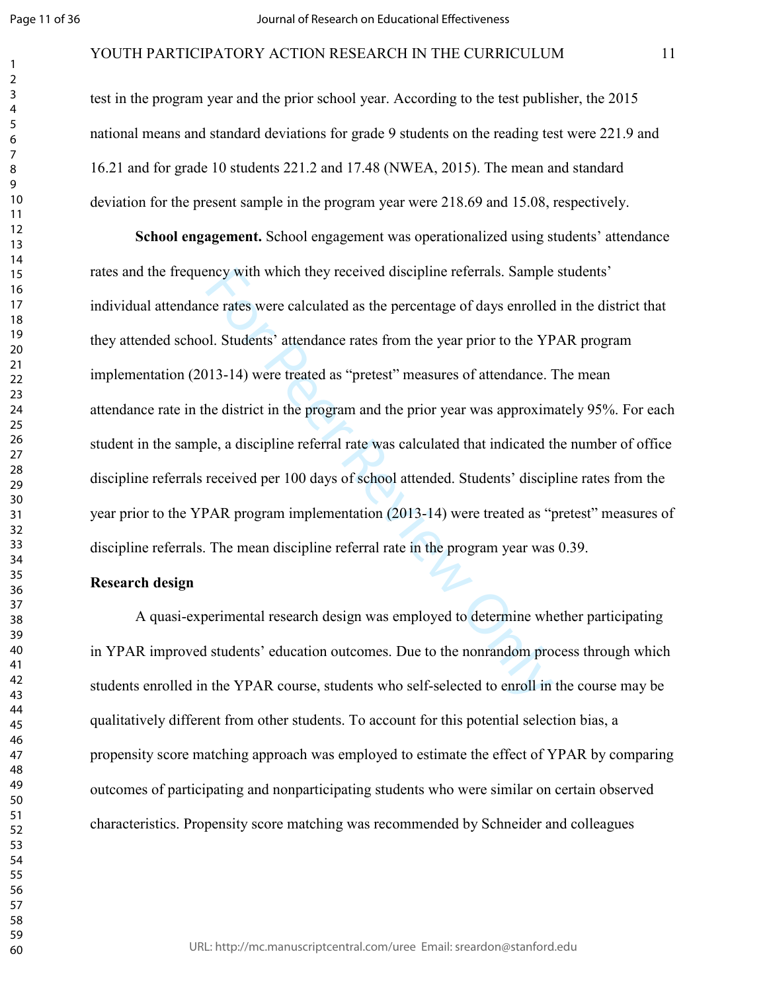#### YOUTH PARTICIPATORY ACTION RESEARCH IN THE CURRICULUM 11

test in the program year and the prior school year. According to the test publisher, the 2015 national means and standard deviations for grade 9 students on the reading test were 221.9 and 16.21 and for grade 10 students 221.2 and 17.48 (NWEA, 2015). The mean and standard deviation for the present sample in the program year were 218.69 and 15.08, respectively.

mey with which they received discipline referrals. Sample<br>ce rates were calculated as the percentage of days enrolled<br>pl. Students' attendance rates from the year prior to the YP<br>013-14) were treated as "pretest" measures **School engagement.** School engagement was operationalized using students' attendance rates and the frequency with which they received discipline referrals. Sample students' individual attendance rates were calculated as the percentage of days enrolled in the district that they attended school. Students' attendance rates from the year prior to the YPAR program implementation (2013-14) were treated as "pretest" measures of attendance. The mean attendance rate in the district in the program and the prior year was approximately 95%. For each student in the sample, a discipline referral rate was calculated that indicated the number of office discipline referrals received per 100 days of school attended. Students' discipline rates from the year prior to the YPAR program implementation (2013-14) were treated as "pretest" measures of discipline referrals. The mean discipline referral rate in the program year was 0.39.

#### **Research design**

A quasi-experimental research design was employed to determine whether participating in YPAR improved students' education outcomes. Due to the nonrandom process through which students enrolled in the YPAR course, students who self-selected to enroll in the course may be qualitatively different from other students. To account for this potential selection bias, a propensity score matching approach was employed to estimate the effect of YPAR by comparing outcomes of participating and nonparticipating students who were similar on certain observed characteristics. Propensity score matching was recommended by Schneider and colleagues

URL: http://mc.manuscriptcentral.com/uree Email: sreardon@stanford.edu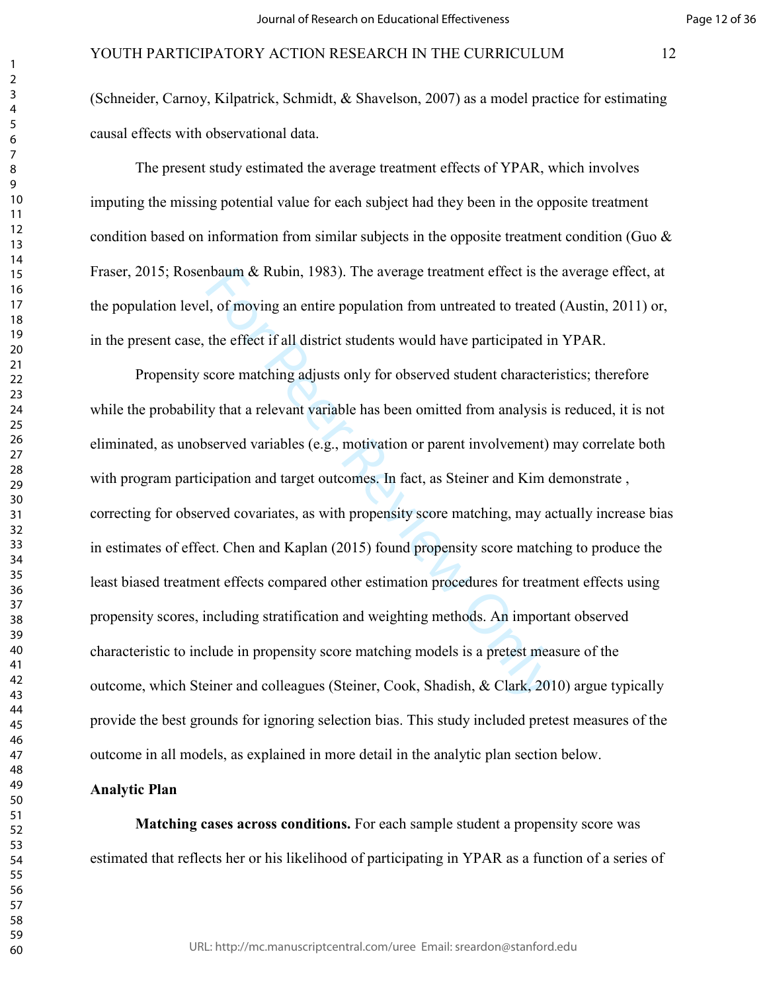(Schneider, Carnoy, Kilpatrick, Schmidt, & Shavelson, 2007) as a model practice for estimating causal effects with observational data.

The present study estimated the average treatment effects of YPAR, which involves imputing the missing potential value for each subject had they been in the opposite treatment condition based on information from similar subjects in the opposite treatment condition (Guo & Fraser, 2015; Rosenbaum & Rubin, 1983). The average treatment effect is the average effect, at the population level, of moving an entire population from untreated to treated (Austin, 2011) or, in the present case, the effect if all district students would have participated in YPAR.

the average treatment effect is the l, of moving an entire population from untreated to treated<br>al, of moving an entire population from untreated to treated<br>the effect if all district students would have participated in<br>sc Propensity score matching adjusts only for observed student characteristics; therefore while the probability that a relevant variable has been omitted from analysis is reduced, it is not eliminated, as unobserved variables (e.g., motivation or parent involvement) may correlate both with program participation and target outcomes. In fact, as Steiner and Kim demonstrate , correcting for observed covariates, as with propensity score matching, may actually increase bias in estimates of effect. Chen and Kaplan (2015) found propensity score matching to produce the least biased treatment effects compared other estimation procedures for treatment effects using propensity scores, including stratification and weighting methods. An important observed characteristic to include in propensity score matching models is a pretest measure of the outcome, which Steiner and colleagues (Steiner, Cook, Shadish, & Clark, 2010) argue typically provide the best grounds for ignoring selection bias. This study included pretest measures of the outcome in all models, as explained in more detail in the analytic plan section below.

#### **Analytic Plan**

**Matching cases across conditions.** For each sample student a propensity score was estimated that reflects her or his likelihood of participating in YPAR as a function of a series of

URL: http://mc.manuscriptcentral.com/uree Email: sreardon@stanford.edu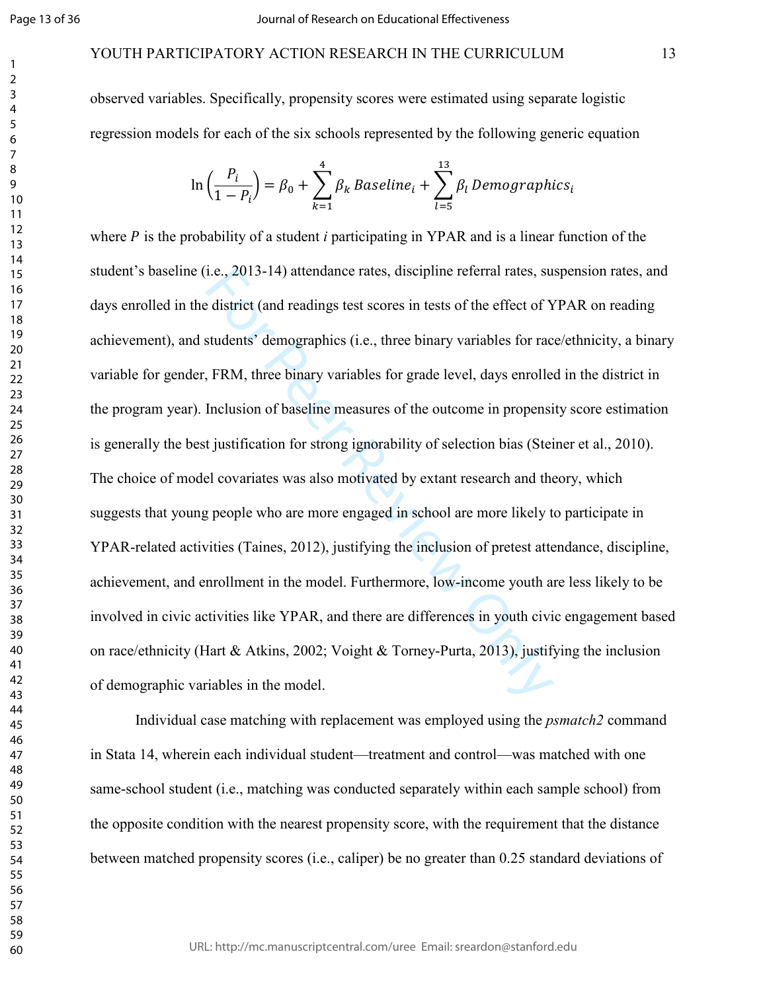Page 13 of 36

123456789

# YOUTH PARTICIPATORY ACTION RESEARCH IN THE CURRICULUM 13

observed variables. Specifically, propensity scores were estimated using separate logistic regression models for each of the six schools represented by the following generic equation

$$
\ln\left(\frac{P_i}{1-P_i}\right) = \beta_0 + \sum_{k=1}^4 \beta_k \text{ Baseline}_i + \sum_{l=5}^{13} \beta_l \text{ Demographies}_i
$$

1.e., 2013-14) attendance rates, discipline referral rates, sue district (and readings test scores in tests of the effect of Y students' demographics (i.e., three binary variables for race, FRM, three binary variables for where  $P$  is the probability of a student  $i$  participating in YPAR and is a linear function of the student's baseline (i.e., 2013-14) attendance rates, discipline referral rates, suspension rates, and days enrolled in the district (and readings test scores in tests of the effect of YPAR on reading achievement), and students' demographics (i.e., three binary variables for race/ethnicity, a binary variable for gender, FRM, three binary variables for grade level, days enrolled in the district in the program year). Inclusion of baseline measures of the outcome in propensity score estimation is generally the best justification for strong ignorability of selection bias (Steiner et al., 2010). The choice of model covariates was also motivated by extant research and theory, which suggests that young people who are more engaged in school are more likely to participate in YPAR-related activities (Taines, 2012), justifying the inclusion of pretest attendance, discipline, achievement, and enrollment in the model. Furthermore, low-income youth are less likely to be involved in civic activities like YPAR, and there are differences in youth civic engagement based on race/ethnicity (Hart & Atkins, 2002; Voight & Torney-Purta, 2013), justifying the inclusion of demographic variables in the model.

Individual case matching with replacement was employed using the *psmatch2* command in Stata 14, wherein each individual student—treatment and control—was matched with one same-school student (i.e., matching was conducted separately within each sample school) from the opposite condition with the nearest propensity score, with the requirement that the distance between matched propensity scores (i.e., caliper) be no greater than 0.25 standard deviations of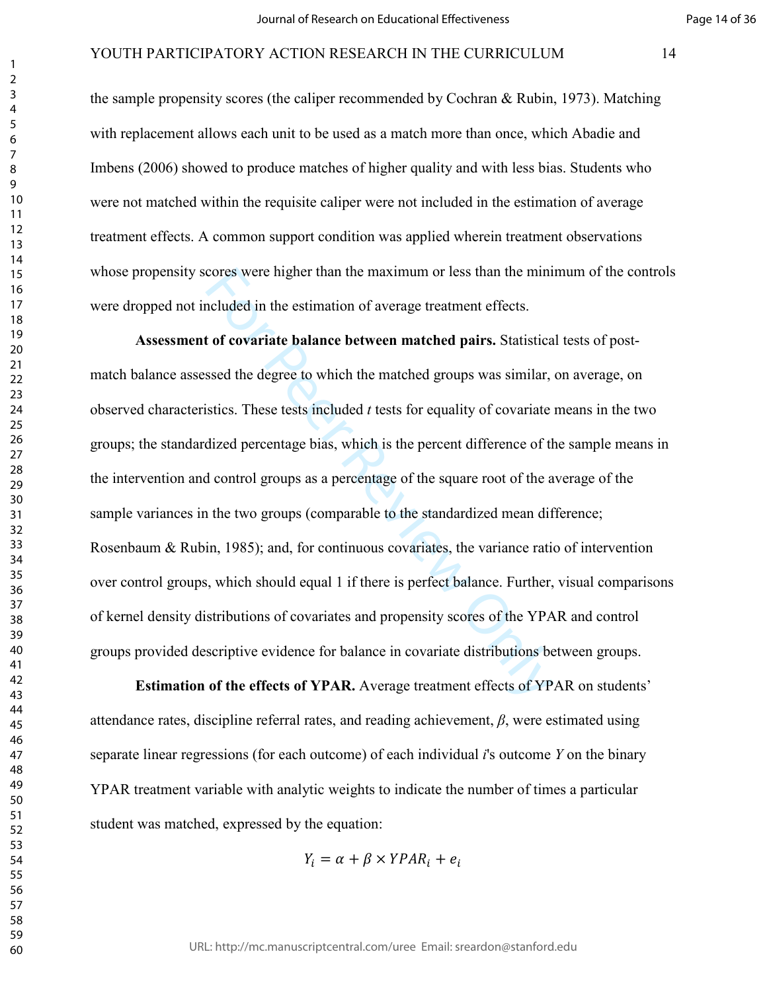the sample propensity scores (the caliper recommended by Cochran & Rubin, 1973). Matching with replacement allows each unit to be used as a match more than once, which Abadie and Imbens (2006) showed to produce matches of higher quality and with less bias. Students who were not matched within the requisite caliper were not included in the estimation of average treatment effects. A common support condition was applied wherein treatment observations whose propensity scores were higher than the maximum or less than the minimum of the controls were dropped not included in the estimation of average treatment effects.

cores were higher than the maximum or less than the minincluded in the estimation of average treatment effects.<br> **tof covariate balance between matched pairs.** Statistica<br>
ssed the degree to which the matched groups was si **Assessment of covariate balance between matched pairs.** Statistical tests of postmatch balance assessed the degree to which the matched groups was similar, on average, on observed characteristics. These tests included *t* tests for equality of covariate means in the two groups; the standardized percentage bias, which is the percent difference of the sample means in the intervention and control groups as a percentage of the square root of the average of the sample variances in the two groups (comparable to the standardized mean difference; Rosenbaum & Rubin, 1985); and, for continuous covariates, the variance ratio of intervention over control groups, which should equal 1 if there is perfect balance. Further, visual comparisons of kernel density distributions of covariates and propensity scores of the YPAR and control groups provided descriptive evidence for balance in covariate distributions between groups.

**Estimation of the effects of YPAR.** Average treatment effects of YPAR on students' attendance rates, discipline referral rates, and reading achievement, *β*, were estimated using separate linear regressions (for each outcome) of each individual *i*'s outcome *Y* on the binary YPAR treatment variable with analytic weights to indicate the number of times a particular student was matched, expressed by the equation:

$$
Y_i = \alpha + \beta \times YPAR_i + e_i
$$

URL: http://mc.manuscriptcentral.com/uree Email: sreardon@stanford.edu

 $\mathbf{1}$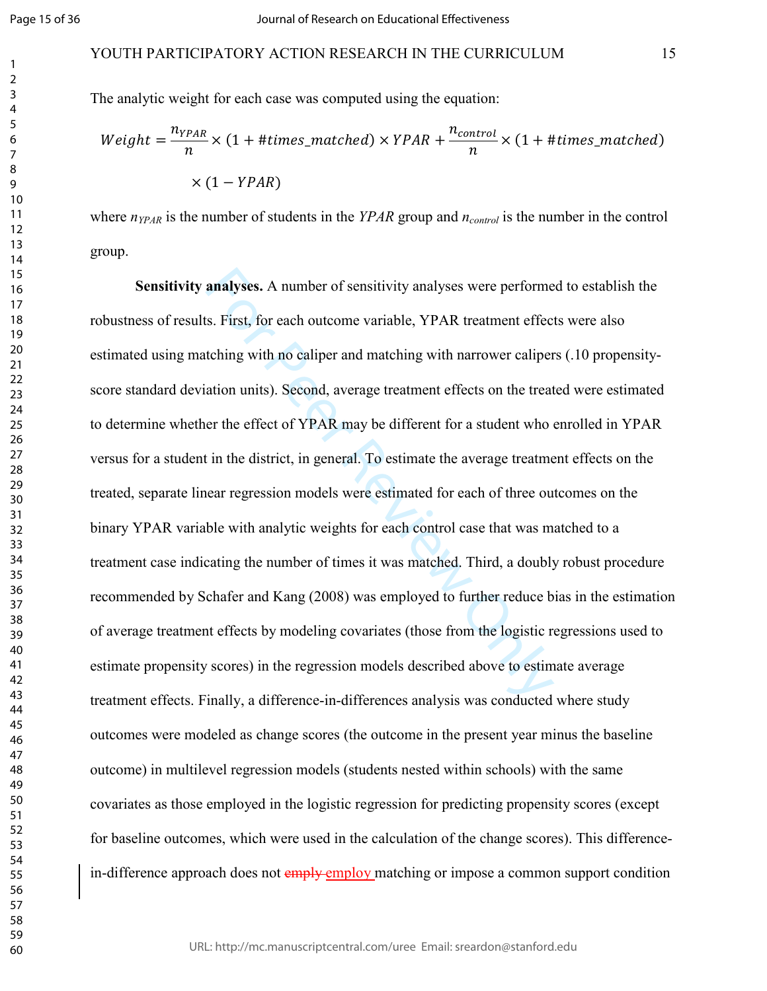#### YOUTH PARTICIPATORY ACTION RESEARCH IN THE CURRICULUM 15

The analytic weight for each case was computed using the equation:

$$
Weight = \frac{n_{YPAR}}{n} \times (1 + \#times\_matched) \times YPAR + \frac{n_{control}}{n} \times (1 + \#times\_matched)
$$

$$
\times (1 - YPAR)
$$

where  $n_{YPAR}$  is the number of students in the  $YPAR$  group and  $n_{control}$  is the number in the control group.

analyses. A number of sensitivity analyses were performe<br>s. First, for each outcome variable, YPAR treatment effec<br>tching with no caliper and matching with narrower caliper<br>ation units). Second, average treatment effects o **Sensitivity analyses.** A number of sensitivity analyses were performed to establish the robustness of results. First, for each outcome variable, YPAR treatment effects were also estimated using matching with no caliper and matching with narrower calipers (.10 propensityscore standard deviation units). Second, average treatment effects on the treated were estimated to determine whether the effect of YPAR may be different for a student who enrolled in YPAR versus for a student in the district, in general. To estimate the average treatment effects on the treated, separate linear regression models were estimated for each of three outcomes on the binary YPAR variable with analytic weights for each control case that was matched to a treatment case indicating the number of times it was matched. Third, a doubly robust procedure recommended by Schafer and Kang (2008) was employed to further reduce bias in the estimation of average treatment effects by modeling covariates (those from the logistic regressions used to estimate propensity scores) in the regression models described above to estimate average treatment effects. Finally, a difference-in-differences analysis was conducted where study outcomes were modeled as change scores (the outcome in the present year minus the baseline outcome) in multilevel regression models (students nested within schools) with the same covariates as those employed in the logistic regression for predicting propensity scores (except for baseline outcomes, which were used in the calculation of the change scores). This differencein-difference approach does not emply employ matching or impose a common support condition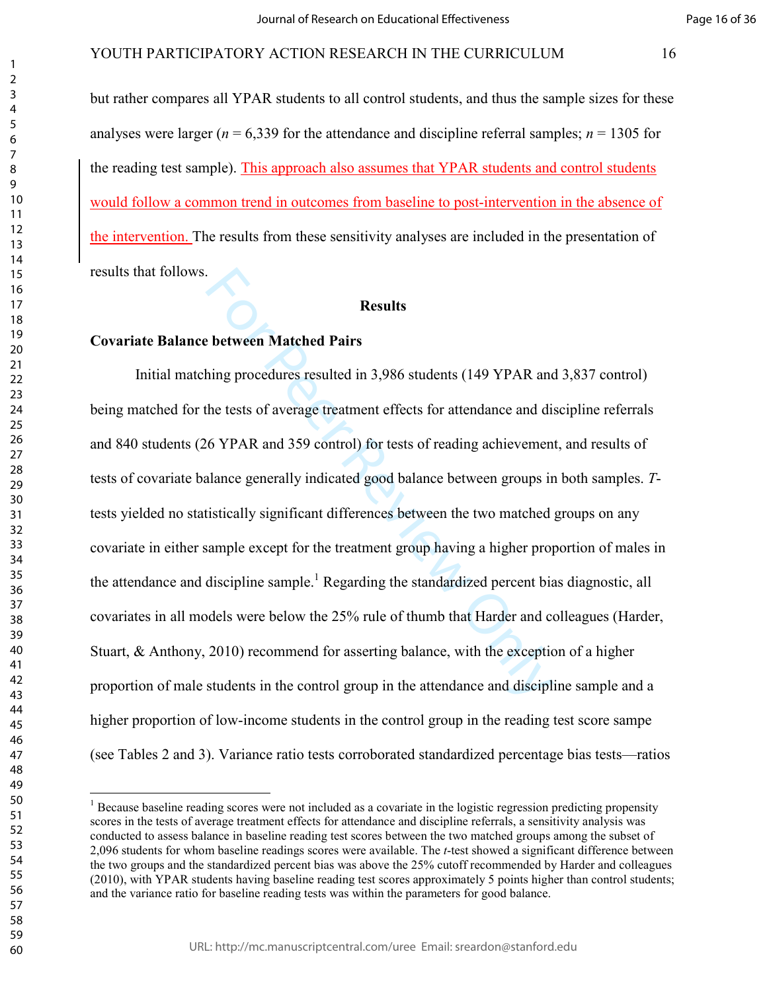but rather compares all YPAR students to all control students, and thus the sample sizes for these analyses were larger ( $n = 6,339$  for the attendance and discipline referral samples;  $n = 1305$  for the reading test sample). This approach also assumes that YPAR students and control students would follow a common trend in outcomes from baseline to post-intervention in the absence of the intervention. The results from these sensitivity analyses are included in the presentation of results that follows.

#### **Results**

#### **Covariate Balance between Matched Pairs**

**Results**<br>**Results**<br>**Results**<br>**Results**<br>**Results**<br>**Results**<br>**Results**<br>**Results**<br>**Results**<br>**Results**<br>**Results**<br>**Results**<br>**Results**<br>**Results**<br>**Results**<br>**Results**<br>**Results**<br>**Results**<br>**Results**<br>**Results**<br>**Results**<br>**Results**<br>**R**  Initial matching procedures resulted in 3,986 students (149 YPAR and 3,837 control) being matched for the tests of average treatment effects for attendance and discipline referrals and 840 students (26 YPAR and 359 control) for tests of reading achievement, and results of tests of covariate balance generally indicated good balance between groups in both samples. *T*tests yielded no statistically significant differences between the two matched groups on any covariate in either sample except for the treatment group having a higher proportion of males in the attendance and discipline sample.<sup>1</sup> Regarding the standardized percent bias diagnostic, all covariates in all models were below the 25% rule of thumb that Harder and colleagues (Harder, Stuart, & Anthony, 2010) recommend for asserting balance, with the exception of a higher proportion of male students in the control group in the attendance and discipline sample and a higher proportion of low-income students in the control group in the reading test score sampe (see Tables 2 and 3). Variance ratio tests corroborated standardized percentage bias tests—ratios

 $\frac{1}{1}$  $<sup>1</sup>$  Because baseline reading scores were not included as a covariate in the logistic regression predicting propensity</sup> scores in the tests of average treatment effects for attendance and discipline referrals, a sensitivity analysis was conducted to assess balance in baseline reading test scores between the two matched groups among the subset of 2,096 students for whom baseline readings scores were available. The *t*-test showed a significant difference between the two groups and the standardized percent bias was above the 25% cutoff recommended by Harder and colleagues (2010), with YPAR students having baseline reading test scores approximately 5 points higher than control students; and the variance ratio for baseline reading tests was within the parameters for good balance.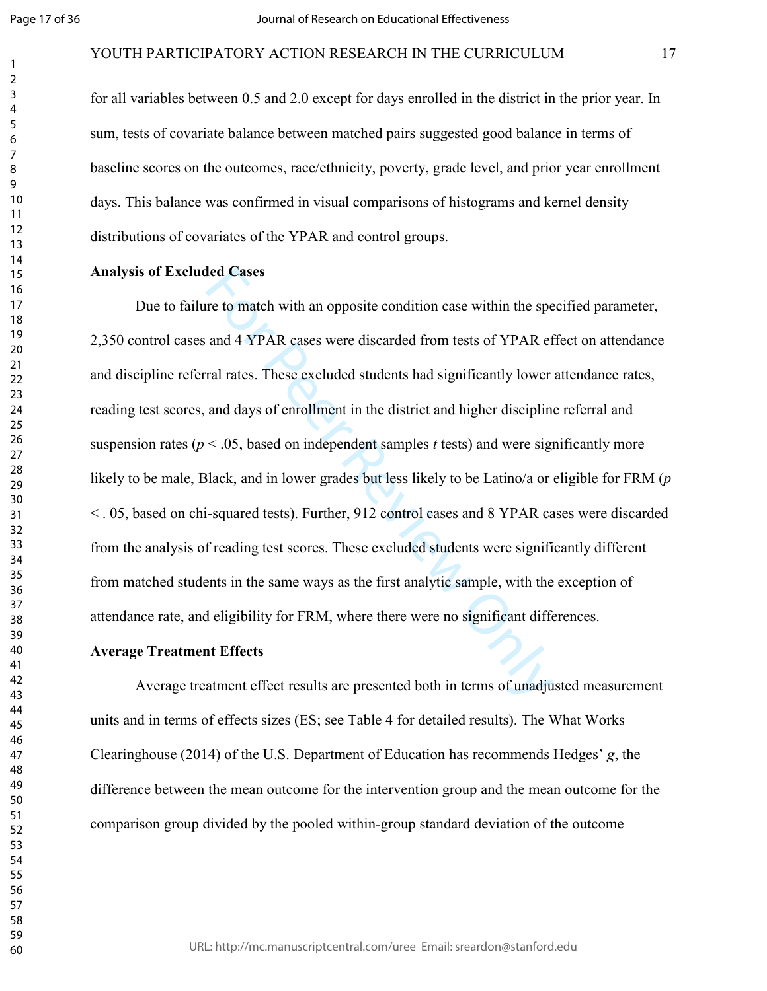#### YOUTH PARTICIPATORY ACTION RESEARCH IN THE CURRICULUM 17

for all variables between 0.5 and 2.0 except for days enrolled in the district in the prior year. In sum, tests of covariate balance between matched pairs suggested good balance in terms of baseline scores on the outcomes, race/ethnicity, poverty, grade level, and prior year enrollment days. This balance was confirmed in visual comparisons of histograms and kernel density distributions of covariates of the YPAR and control groups.

#### **Analysis of Excluded Cases**

ded Cases<br>re to match with an opposite condition case within the spe<br>and 4 YPAR cases were discarded from tests of YPAR ef<br>ral rates. These excluded students had significantly lower<br>and days of enrollment in the district Due to failure to match with an opposite condition case within the specified parameter, 2,350 control cases and 4 YPAR cases were discarded from tests of YPAR effect on attendance and discipline referral rates. These excluded students had significantly lower attendance rates, reading test scores, and days of enrollment in the district and higher discipline referral and suspension rates ( $p < .05$ , based on independent samples t tests) and were significantly more likely to be male, Black, and in lower grades but less likely to be Latino/a or eligible for FRM (*p* < . 05, based on chi-squared tests). Further, 912 control cases and 8 YPAR cases were discarded from the analysis of reading test scores. These excluded students were significantly different from matched students in the same ways as the first analytic sample, with the exception of attendance rate, and eligibility for FRM, where there were no significant differences.

#### **Average Treatment Effects**

Average treatment effect results are presented both in terms of unadjusted measurement units and in terms of effects sizes (ES; see Table 4 for detailed results). The What Works Clearinghouse (2014) of the U.S. Department of Education has recommends Hedges' *g*, the difference between the mean outcome for the intervention group and the mean outcome for the comparison group divided by the pooled within-group standard deviation of the outcome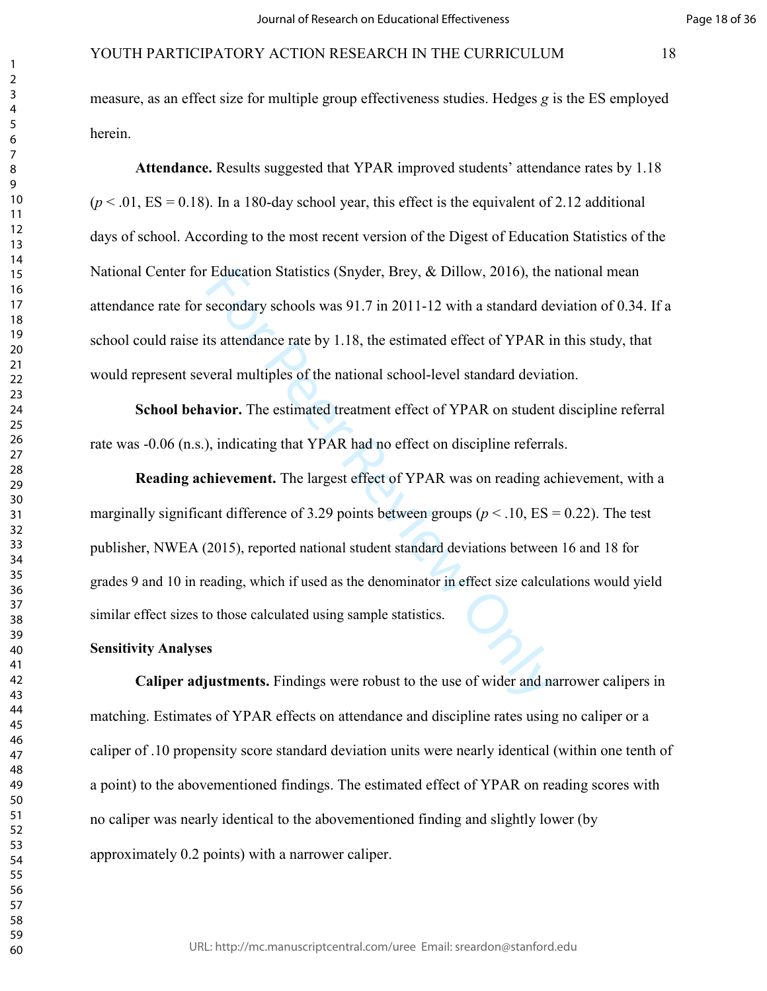# Page 18 of 36

## YOUTH PARTICIPATORY ACTION RESEARCH IN THE CURRICULUM 18

measure, as an effect size for multiple group effectiveness studies. Hedges *g* is the ES employed herein.

**Attendance.** Results suggested that YPAR improved students' attendance rates by 1.18  $(p < .01, ES = 0.18)$ . In a 180-day school year, this effect is the equivalent of 2.12 additional days of school. According to the most recent version of the Digest of Education Statistics of the National Center for Education Statistics (Snyder, Brey, & Dillow, 2016), the national mean attendance rate for secondary schools was 91.7 in 2011-12 with a standard deviation of 0.34. If a school could raise its attendance rate by 1.18, the estimated effect of YPAR in this study, that would represent several multiples of the national school-level standard deviation.

**School behavior.** The estimated treatment effect of YPAR on student discipline referral rate was -0.06 (n.s.), indicating that YPAR had no effect on discipline referrals.

Education Statistics (Snyder, Brey, & Dillow, 2016), the<br>secondary schools was 91.7 in 2011-12 with a standard de<br>ts attendance rate by 1.18, the estimated effect of YPAR in<br>veral multiples of the national school-level st **Reading achievement.** The largest effect of YPAR was on reading achievement, with a marginally significant difference of 3.29 points between groups ( $p < 0.10$ , ES = 0.22). The test publisher, NWEA (2015), reported national student standard deviations between 16 and 18 for grades 9 and 10 in reading, which if used as the denominator in effect size calculations would yield similar effect sizes to those calculated using sample statistics.

# **Sensitivity Analyses**

**Caliper adjustments.** Findings were robust to the use of wider and narrower calipers in matching. Estimates of YPAR effects on attendance and discipline rates using no caliper or a caliper of .10 propensity score standard deviation units were nearly identical (within one tenth of a point) to the abovementioned findings. The estimated effect of YPAR on reading scores with no caliper was nearly identical to the abovementioned finding and slightly lower (by approximately 0.2 points) with a narrower caliper.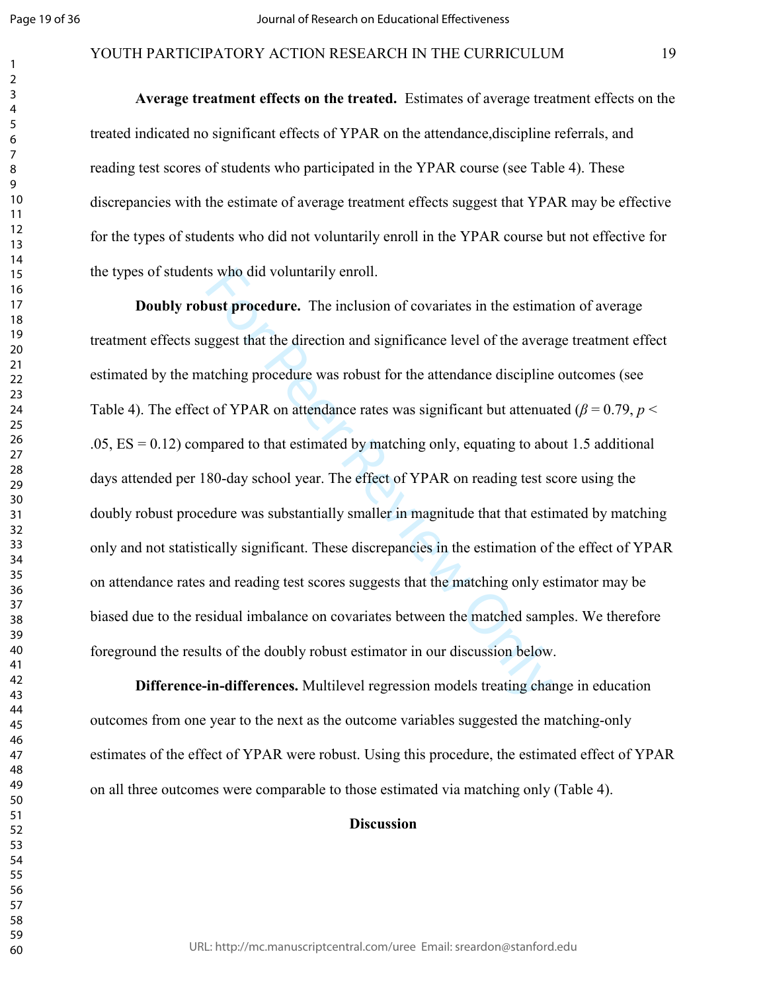#### YOUTH PARTICIPATORY ACTION RESEARCH IN THE CURRICULUM 19

**Average treatment effects on the treated.** Estimates of average treatment effects on the treated indicated no significant effects of YPAR on the attendance,discipline referrals, and reading test scores of students who participated in the YPAR course (see Table 4). These discrepancies with the estimate of average treatment effects suggest that YPAR may be effective for the types of students who did not voluntarily enroll in the YPAR course but not effective for the types of students who did voluntarily enroll.

is who did voluntarily enroll.<br> **Solution** of covariates in the estimated ggest that the direction and significance level of the avera<br>
atching procedure was robust for the attendance discipline<br>
t of YPAR on attendance ra **Doubly robust procedure.** The inclusion of covariates in the estimation of average treatment effects suggest that the direction and significance level of the average treatment effect estimated by the matching procedure was robust for the attendance discipline outcomes (see Table 4). The effect of YPAR on attendance rates was significant but attenuated ( $\beta$  = 0.79,  $p$  <  $.05, ES = 0.12$ ) compared to that estimated by matching only, equating to about 1.5 additional days attended per 180-day school year. The effect of YPAR on reading test score using the doubly robust procedure was substantially smaller in magnitude that that estimated by matching only and not statistically significant. These discrepancies in the estimation of the effect of YPAR on attendance rates and reading test scores suggests that the matching only estimator may be biased due to the residual imbalance on covariates between the matched samples. We therefore foreground the results of the doubly robust estimator in our discussion below.

**Difference-in-differences.** Multilevel regression models treating change in education outcomes from one year to the next as the outcome variables suggested the matching-only estimates of the effect of YPAR were robust. Using this procedure, the estimated effect of YPAR on all three outcomes were comparable to those estimated via matching only (Table 4).

#### **Discussion**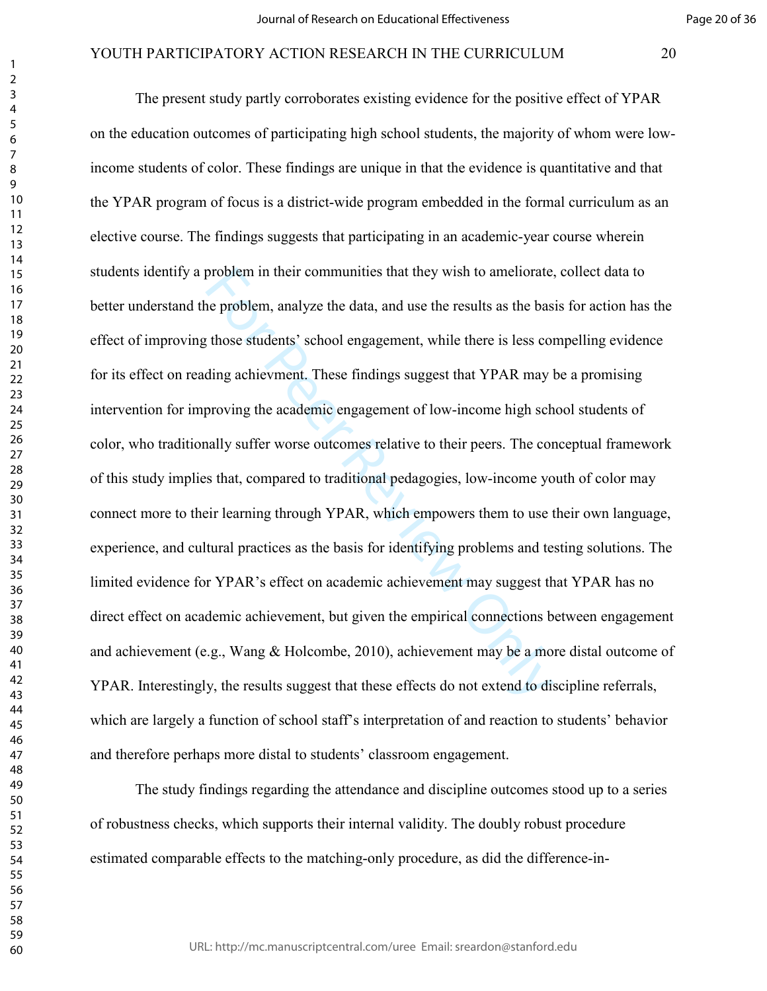problem in their communities that they wish to ameliorate,<br>ne problem, analyze the data, and use the results as the bas<br>those students' school engagement, while there is less cording achievment. These findings suggest that The present study partly corroborates existing evidence for the positive effect of YPAR on the education outcomes of participating high school students, the majority of whom were lowincome students of color. These findings are unique in that the evidence is quantitative and that the YPAR program of focus is a district-wide program embedded in the formal curriculum as an elective course. The findings suggests that participating in an academic-year course wherein students identify a problem in their communities that they wish to ameliorate, collect data to better understand the problem, analyze the data, and use the results as the basis for action has the effect of improving those students' school engagement, while there is less compelling evidence for its effect on reading achievment. These findings suggest that YPAR may be a promising intervention for improving the academic engagement of low-income high school students of color, who traditionally suffer worse outcomes relative to their peers. The conceptual framework of this study implies that, compared to traditional pedagogies, low-income youth of color may connect more to their learning through YPAR, which empowers them to use their own language, experience, and cultural practices as the basis for identifying problems and testing solutions. The limited evidence for YPAR's effect on academic achievement may suggest that YPAR has no direct effect on academic achievement, but given the empirical connections between engagement and achievement (e.g., Wang & Holcombe, 2010), achievement may be a more distal outcome of YPAR. Interestingly, the results suggest that these effects do not extend to discipline referrals, which are largely a function of school staff's interpretation of and reaction to students' behavior and therefore perhaps more distal to students' classroom engagement.

 The study findings regarding the attendance and discipline outcomes stood up to a series of robustness checks, which supports their internal validity. The doubly robust procedure estimated comparable effects to the matching-only procedure, as did the difference-in-

URL: http://mc.manuscriptcentral.com/uree Email: sreardon@stanford.edu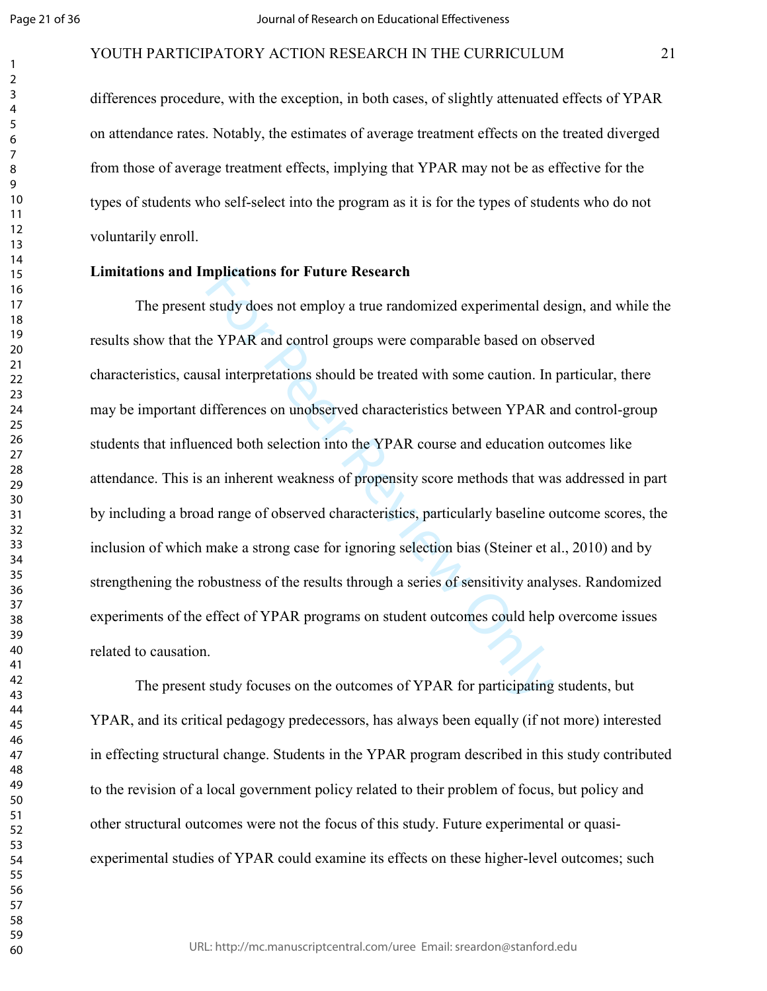#### YOUTH PARTICIPATORY ACTION RESEARCH IN THE CURRICULUM 21

differences procedure, with the exception, in both cases, of slightly attenuated effects of YPAR on attendance rates. Notably, the estimates of average treatment effects on the treated diverged from those of average treatment effects, implying that YPAR may not be as effective for the types of students who self-select into the program as it is for the types of students who do not voluntarily enroll.

#### **Limitations and Implications for Future Research**

mplications for Future Research<br>study does not employ a true randomized experimental de<br>e YPAR and control groups were comparable based on ob<br>sal interpretations should be treated with some caution. In<br>lifferences on unobs The present study does not employ a true randomized experimental design, and while the results show that the YPAR and control groups were comparable based on observed characteristics, causal interpretations should be treated with some caution. In particular, there may be important differences on unobserved characteristics between YPAR and control-group students that influenced both selection into the YPAR course and education outcomes like attendance. This is an inherent weakness of propensity score methods that was addressed in part by including a broad range of observed characteristics, particularly baseline outcome scores, the inclusion of which make a strong case for ignoring selection bias (Steiner et al., 2010) and by strengthening the robustness of the results through a series of sensitivity analyses. Randomized experiments of the effect of YPAR programs on student outcomes could help overcome issues related to causation.

The present study focuses on the outcomes of YPAR for participating students, but YPAR, and its critical pedagogy predecessors, has always been equally (if not more) interested in effecting structural change. Students in the YPAR program described in this study contributed to the revision of a local government policy related to their problem of focus, but policy and other structural outcomes were not the focus of this study. Future experimental or quasiexperimental studies of YPAR could examine its effects on these higher-level outcomes; such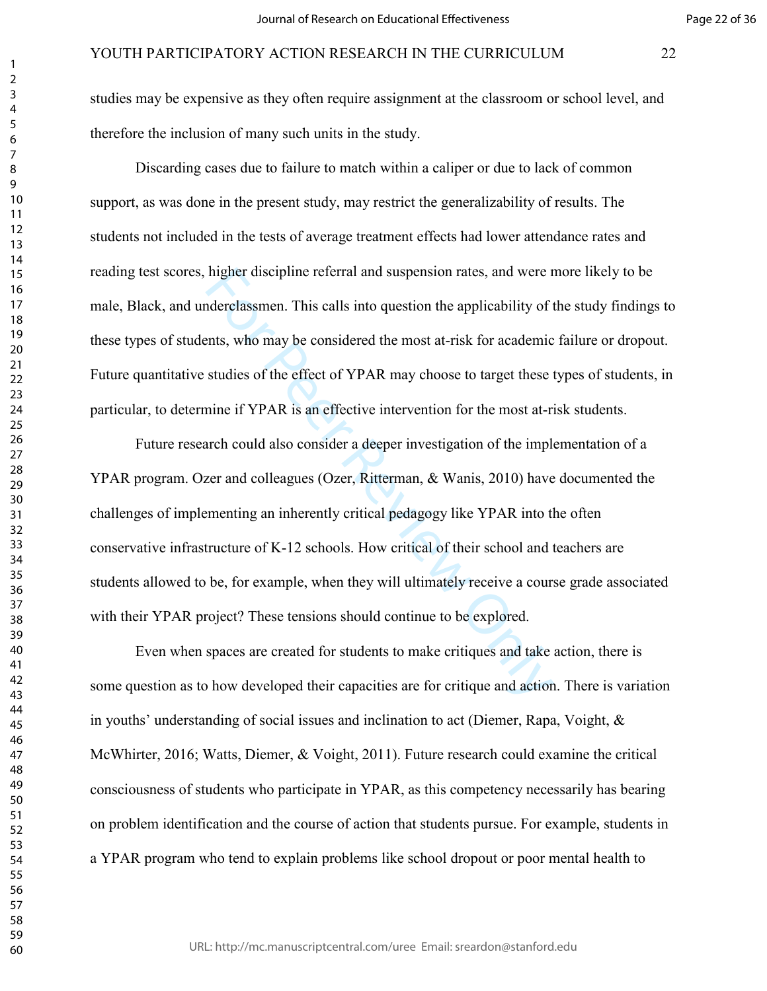studies may be expensive as they often require assignment at the classroom or school level, and therefore the inclusion of many such units in the study.

Discarding cases due to failure to match within a caliper or due to lack of common support, as was done in the present study, may restrict the generalizability of results. The students not included in the tests of average treatment effects had lower attendance rates and reading test scores, higher discipline referral and suspension rates, and were more likely to be male, Black, and underclassmen. This calls into question the applicability of the study findings to these types of students, who may be considered the most at-risk for academic failure or dropout. Future quantitative studies of the effect of YPAR may choose to target these types of students, in particular, to determine if YPAR is an effective intervention for the most at-risk students.

higher discipline referral and suspension rates, and were r<br>nderclassmen. This calls into question the applicability of t<br>ents, who may be considered the most at-risk for academic<br>studies of the effect of YPAR may choose t Future research could also consider a deeper investigation of the implementation of a YPAR program. Ozer and colleagues (Ozer, Ritterman, & Wanis, 2010) have documented the challenges of implementing an inherently critical pedagogy like YPAR into the often conservative infrastructure of K-12 schools. How critical of their school and teachers are students allowed to be, for example, when they will ultimately receive a course grade associated with their YPAR project? These tensions should continue to be explored.

Even when spaces are created for students to make critiques and take action, there is some question as to how developed their capacities are for critique and action. There is variation in youths' understanding of social issues and inclination to act (Diemer, Rapa, Voight, & McWhirter, 2016; Watts, Diemer, & Voight, 2011). Future research could examine the critical consciousness of students who participate in YPAR, as this competency necessarily has bearing on problem identification and the course of action that students pursue. For example, students in a YPAR program who tend to explain problems like school dropout or poor mental health to

 $\mathbf{1}$  $\overline{2}$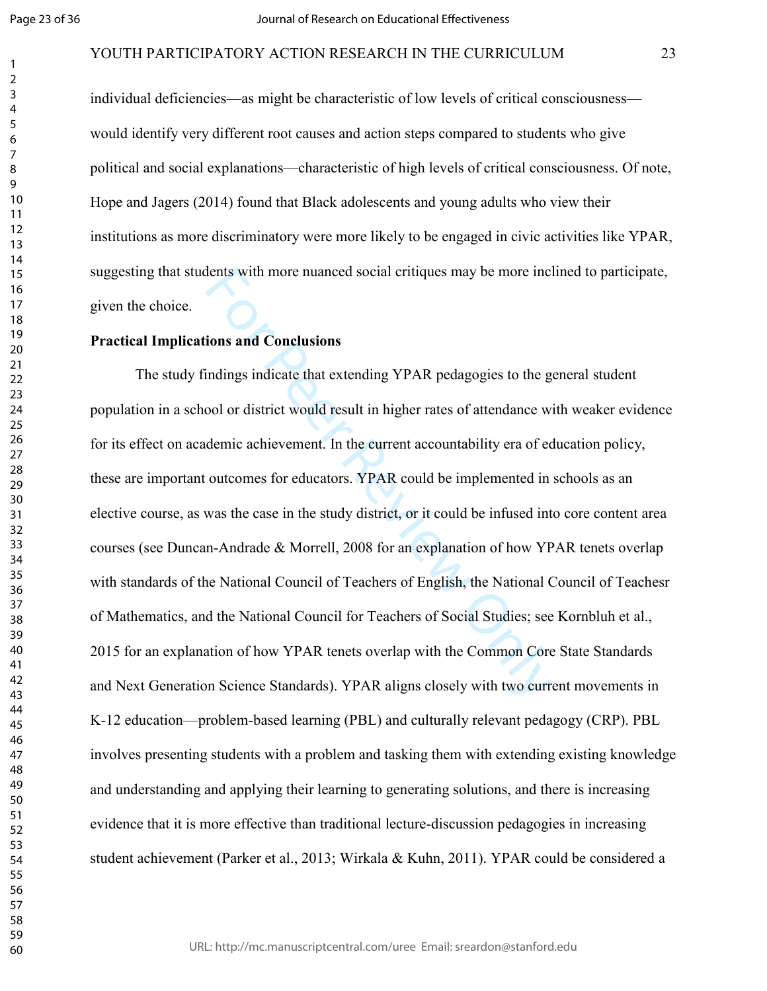#### YOUTH PARTICIPATORY ACTION RESEARCH IN THE CURRICULUM 23

individual deficiencies—as might be characteristic of low levels of critical consciousness would identify very different root causes and action steps compared to students who give political and social explanations—characteristic of high levels of critical consciousness. Of note, Hope and Jagers (2014) found that Black adolescents and young adults who view their institutions as more discriminatory were more likely to be engaged in civic activities like YPAR, suggesting that students with more nuanced social critiques may be more inclined to participate, given the choice.

#### **Practical Implications and Conclusions**

dents with more nuanced social critiques may be more incl<br>
ions and Conclusions<br>
indings indicate that extending YPAR pedagogies to the geool or district would result in higher rates of attendance wi<br>
demic achievement. In The study findings indicate that extending YPAR pedagogies to the general student population in a school or district would result in higher rates of attendance with weaker evidence for its effect on academic achievement. In the current accountability era of education policy, these are important outcomes for educators. YPAR could be implemented in schools as an elective course, as was the case in the study district, or it could be infused into core content area courses (see Duncan-Andrade & Morrell, 2008 for an explanation of how YPAR tenets overlap with standards of the National Council of Teachers of English, the National Council of Teachesr of Mathematics, and the National Council for Teachers of Social Studies; see Kornbluh et al., 2015 for an explanation of how YPAR tenets overlap with the Common Core State Standards and Next Generation Science Standards). YPAR aligns closely with two current movements in K-12 education—problem-based learning (PBL) and culturally relevant pedagogy (CRP). PBL involves presenting students with a problem and tasking them with extending existing knowledge and understanding and applying their learning to generating solutions, and there is increasing evidence that it is more effective than traditional lecture-discussion pedagogies in increasing student achievement (Parker et al., 2013; Wirkala & Kuhn, 2011). YPAR could be considered a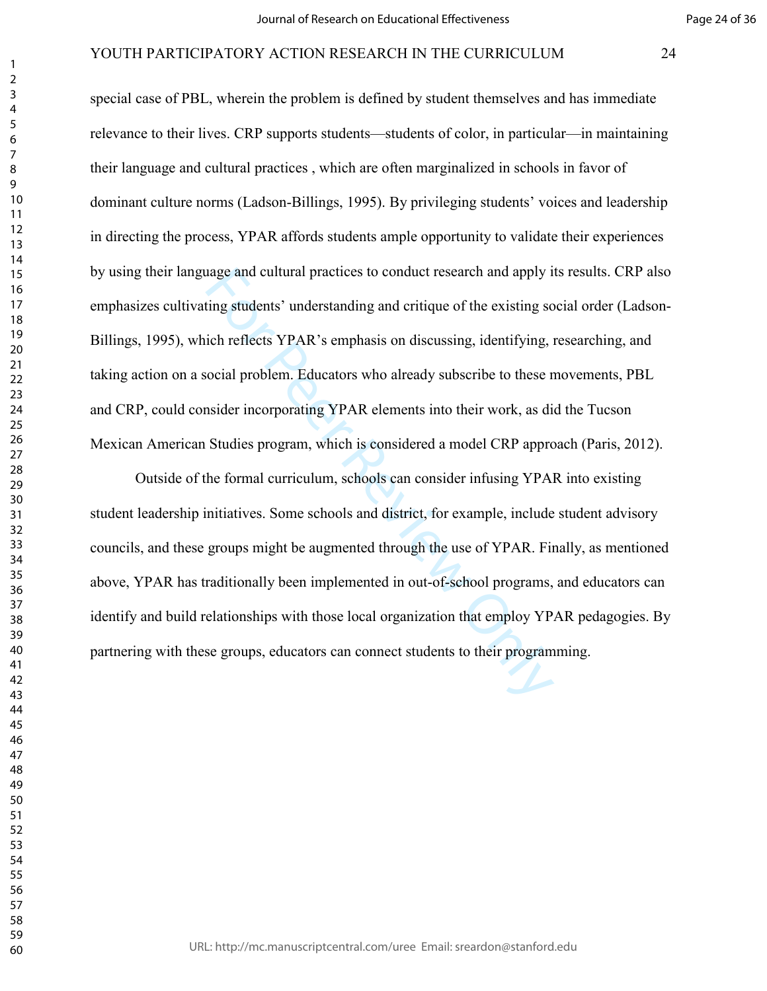#### Page 24 of 36

# YOUTH PARTICIPATORY ACTION RESEARCH IN THE CURRICULUM 24

special case of PBL, wherein the problem is defined by student themselves and has immediate relevance to their lives. CRP supports students—students of color, in particular—in maintaining their language and cultural practices , which are often marginalized in schools in favor of dominant culture norms (Ladson-Billings, 1995). By privileging students' voices and leadership in directing the process, YPAR affords students ample opportunity to validate their experiences by using their language and cultural practices to conduct research and apply its results. CRP also emphasizes cultivating students' understanding and critique of the existing social order (Ladson-Billings, 1995), which reflects YPAR's emphasis on discussing, identifying, researching, and taking action on a social problem. Educators who already subscribe to these movements, PBL and CRP, could consider incorporating YPAR elements into their work, as did the Tucson Mexican American Studies program, which is considered a model CRP approach (Paris, 2012).

alge and cultural practices to conduct research and apply is<br>ting students' understanding and critique of the existing so<br>ich reflects YPAR's emphasis on discussing, identifying,<br>locial problem. Educators who already subsc Outside of the formal curriculum, schools can consider infusing YPAR into existing student leadership initiatives. Some schools and district, for example, include student advisory councils, and these groups might be augmented through the use of YPAR. Finally, as mentioned above, YPAR has traditionally been implemented in out-of-school programs, and educators can identify and build relationships with those local organization that employ YPAR pedagogies. By partnering with these groups, educators can connect students to their programming.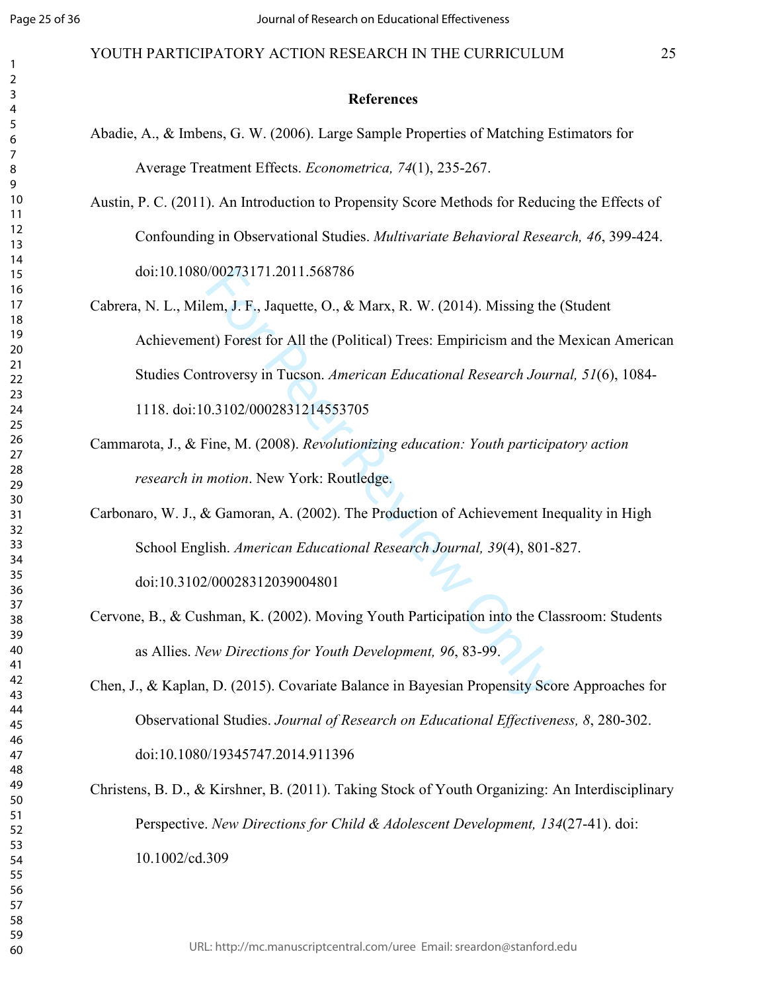#### YOUTH PARTICIPATORY ACTION RESEARCH IN THE CURRICULUM 25

#### **References**

- Abadie, A., & Imbens, G. W. (2006). Large Sample Properties of Matching Estimators for Average Treatment Effects. *Econometrica, 74*(1), 235-267.
- Austin, P. C. (2011). An Introduction to Propensity Score Methods for Reducing the Effects of Confounding in Observational Studies. *Multivariate Behavioral Research, 46*, 399-424. doi:10.1080/00273171.2011.568786
- (60273171.2011.568786<br>
em, J. F., Jaquette, O., & Marx, R. W. (2014). Missing the<br>
nt) Forest for All the (Political) Trees: Empiricism and the<br>
ntroversy in Tucson. American Educational Research Jour<br>
0.3102/000283121455 Cabrera, N. L., Milem, J. F., Jaquette, O., & Marx, R. W. (2014). Missing the (Student Achievement) Forest for All the (Political) Trees: Empiricism and the Mexican American Studies Controversy in Tucson. *American Educational Research Journal, 51*(6), 1084- 1118. doi:10.3102/0002831214553705
- Cammarota, J., & Fine, M. (2008). *Revolutionizing education: Youth participatory action research in motion*. New York: Routledge.
- Carbonaro, W. J., & Gamoran, A. (2002). The Production of Achievement Inequality in High School English. *American Educational Research Journal, 39*(4), 801-827. doi:10.3102/00028312039004801
- Cervone, B., & Cushman, K. (2002). Moving Youth Participation into the Classroom: Students as Allies. *New Directions for Youth Development, 96*, 83-99.
- Chen, J., & Kaplan, D. (2015). Covariate Balance in Bayesian Propensity Score Approaches for Observational Studies. *Journal of Research on Educational Effectiveness, 8*, 280-302. doi:10.1080/19345747.2014.911396
- Christens, B. D., & Kirshner, B. (2011). Taking Stock of Youth Organizing: An Interdisciplinary Perspective. *New Directions for Child & Adolescent Development, 134*(27-41). doi: 10.1002/cd.309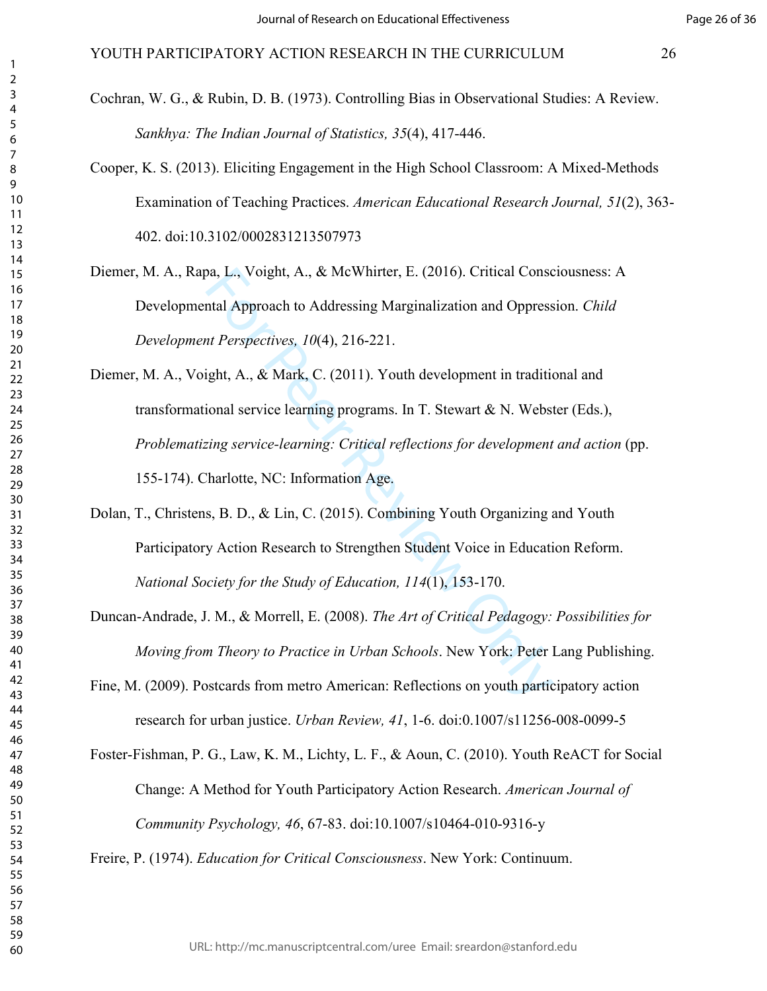Cochran, W. G., & Rubin, D. B. (1973). Controlling Bias in Observational Studies: A Review. *Sankhya: The Indian Journal of Statistics, 35*(4), 417-446.

- Cooper, K. S. (2013). Eliciting Engagement in the High School Classroom: A Mixed-Methods Examination of Teaching Practices. *American Educational Research Journal, 51*(2), 363- 402. doi:10.3102/0002831213507973
- Diemer, M. A., Rapa, L., Voight, A., & McWhirter, E. (2016). Critical Consciousness: A Developmental Approach to Addressing Marginalization and Oppression. *Child Development Perspectives, 10*(4), 216-221.
- ba, L., Voight, A., & McWhirter, E. (2016). Critical Consential Approach to Addressing Marginalization and Oppress<br> *nt Perspectives, 10*(4), 216-221.<br>
ight, A., & Mark, C. (2011). Youth development in traditional service Diemer, M. A., Voight, A., & Mark, C. (2011). Youth development in traditional and transformational service learning programs. In T. Stewart & N. Webster (Eds.), *Problematizing service-learning: Critical reflections for development and action* (pp. 155-174). Charlotte, NC: Information Age.
- Dolan, T., Christens, B. D., & Lin, C. (2015). Combining Youth Organizing and Youth Participatory Action Research to Strengthen Student Voice in Education Reform. *National Society for the Study of Education, 114*(1), 153-170.
- Duncan-Andrade, J. M., & Morrell, E. (2008). *The Art of Critical Pedagogy: Possibilities for Moving from Theory to Practice in Urban Schools*. New York: Peter Lang Publishing.
- Fine, M. (2009). Postcards from metro American: Reflections on youth participatory action research for urban justice. *Urban Review, 41*, 1-6. doi:0.1007/s11256-008-0099-5

Foster-Fishman, P. G., Law, K. M., Lichty, L. F., & Aoun, C. (2010). Youth ReACT for Social Change: A Method for Youth Participatory Action Research. *American Journal of Community Psychology, 46*, 67-83. doi:10.1007/s10464-010-9316-y

Freire, P. (1974). *Education for Critical Consciousness*. New York: Continuum.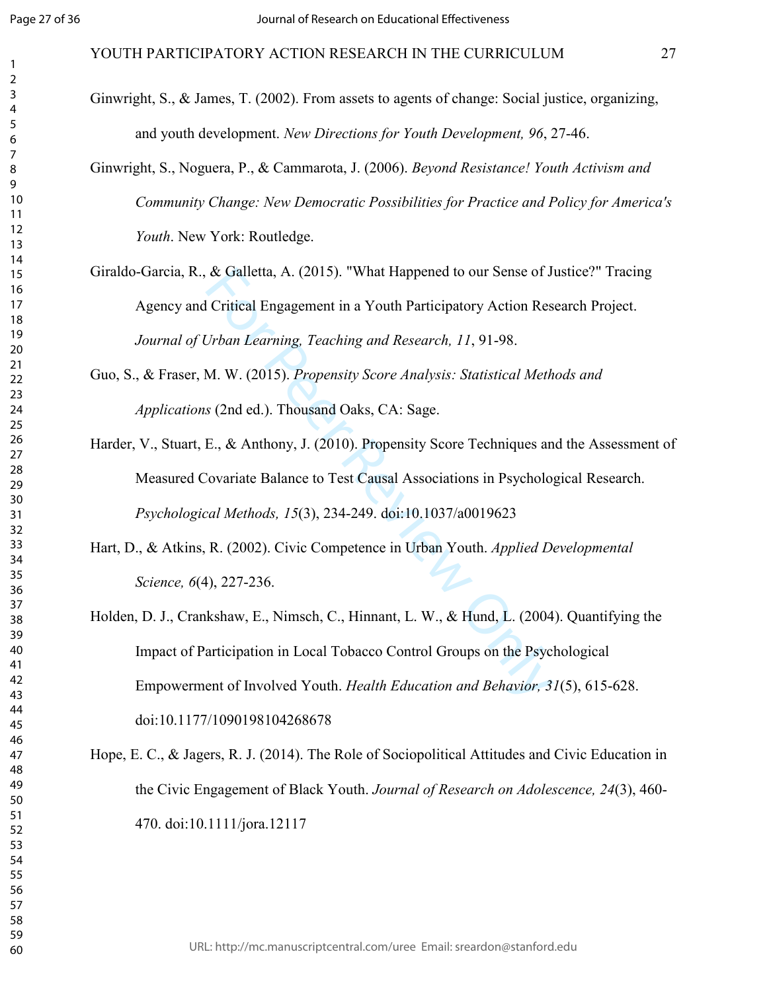# YOUTH PARTICIPATORY ACTION RESEARCH IN THE CURRICULUM 27

- Ginwright, S., & James, T. (2002). From assets to agents of change: Social justice, organizing, and youth development. *New Directions for Youth Development, 96*, 27-46.
- Ginwright, S., Noguera, P., & Cammarota, J. (2006). *Beyond Resistance! Youth Activism and Community Change: New Democratic Possibilities for Practice and Policy for America's Youth*. New York: Routledge.
- Giraldo-Garcia, R., & Galletta, A. (2015). "What Happened to our Sense of Justice?" Tracing Agency and Critical Engagement in a Youth Participatory Action Research Project. *Journal of Urban Learning, Teaching and Research, 11*, 91-98.
	- Guo, S., & Fraser, M. W. (2015). *Propensity Score Analysis: Statistical Methods and Applications* (2nd ed.). Thousand Oaks, CA: Sage.
	- Harder, V., Stuart, E., & Anthony, J. (2010). Propensity Score Techniques and the Assessment of Measured Covariate Balance to Test Causal Associations in Psychological Research. *Psychological Methods, 15*(3), 234-249. doi:10.1037/a0019623
	- Hart, D., & Atkins, R. (2002). Civic Competence in Urban Youth. *Applied Developmental Science, 6*(4), 227-236.
- & Galletta, A. (2015). "What Happened to our Sense of J.<br>Critical Engagement in a Youth Participatory Action Res<br>Urban Learning, Teaching and Research, 11, 91-98.<br>M. W. (2015). Propensity Score Analysis: Statistical Meth<br>s Holden, D. J., Crankshaw, E., Nimsch, C., Hinnant, L. W., & Hund, L. (2004). Quantifying the Impact of Participation in Local Tobacco Control Groups on the Psychological Empowerment of Involved Youth. *Health Education and Behavior, 31*(5), 615-628. doi:10.1177/1090198104268678
- Hope, E. C., & Jagers, R. J. (2014). The Role of Sociopolitical Attitudes and Civic Education in the Civic Engagement of Black Youth. *Journal of Research on Adolescence, 24*(3), 460- 470. doi:10.1111/jora.12117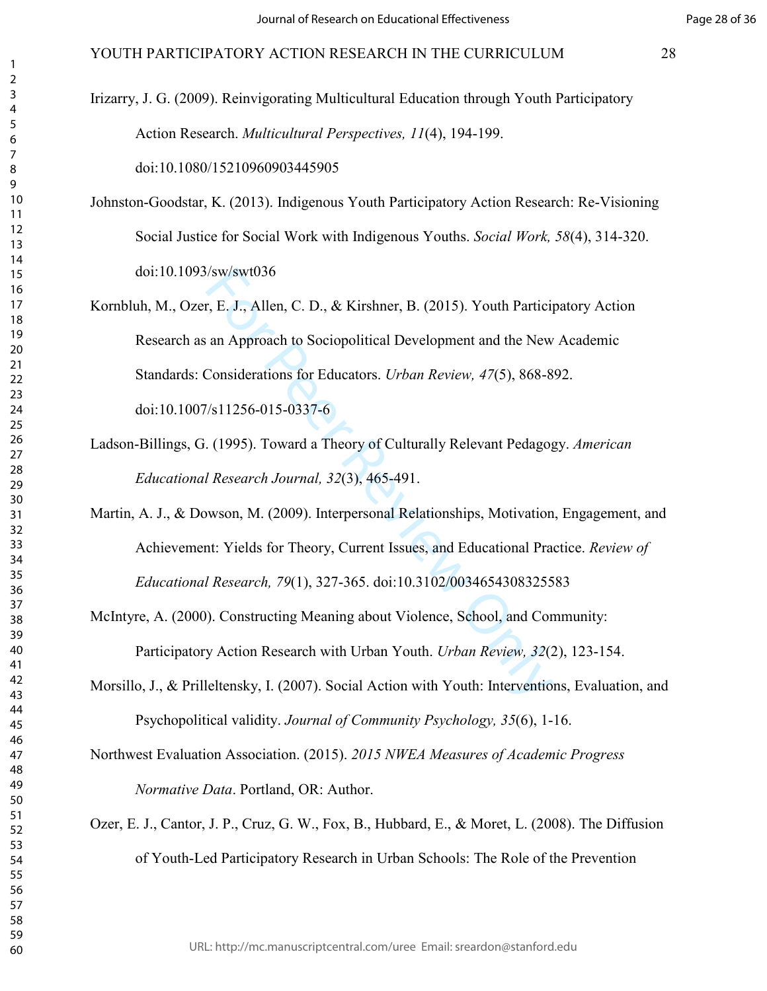Irizarry, J. G. (2009). Reinvigorating Multicultural Education through Youth Participatory Action Research. *Multicultural Perspectives, 11*(4), 194-199.

doi:10.1080/15210960903445905

- Johnston-Goodstar, K. (2013). Indigenous Youth Participatory Action Research: Re-Visioning Social Justice for Social Work with Indigenous Youths. *Social Work, 58*(4), 314-320. doi:10.1093/sw/swt036
- Sw/swt036<br>
r, E. J., Allen, C. D., & Kirshner, B. (2015). Youth Particij<br>
an Approach to Sociopolitical Development and the New<br>
Considerations for Educators. *Urban Review*, 47(5), 868-8<br>
State Considerations for Educato Kornbluh, M., Ozer, E. J., Allen, C. D., & Kirshner, B. (2015). Youth Participatory Action Research as an Approach to Sociopolitical Development and the New Academic Standards: Considerations for Educators. *Urban Review, 47*(5), 868-892. doi:10.1007/s11256-015-0337-6
- Ladson-Billings, G. (1995). Toward a Theory of Culturally Relevant Pedagogy. *American Educational Research Journal, 32*(3), 465-491.
- Martin, A. J., & Dowson, M. (2009). Interpersonal Relationships, Motivation, Engagement, and Achievement: Yields for Theory, Current Issues, and Educational Practice. *Review of Educational Research, 79*(1), 327-365. doi:10.3102/0034654308325583
- McIntyre, A. (2000). Constructing Meaning about Violence, School, and Community: Participatory Action Research with Urban Youth. *Urban Review, 32*(2), 123-154.
- Morsillo, J., & Prilleltensky, I. (2007). Social Action with Youth: Interventions, Evaluation, and Psychopolitical validity. *Journal of Community Psychology, 35*(6), 1-16.
- Northwest Evaluation Association. (2015). *2015 NWEA Measures of Academic Progress Normative Data*. Portland, OR: Author.
- Ozer, E. J., Cantor, J. P., Cruz, G. W., Fox, B., Hubbard, E., & Moret, L. (2008). The Diffusion of Youth-Led Participatory Research in Urban Schools: The Role of the Prevention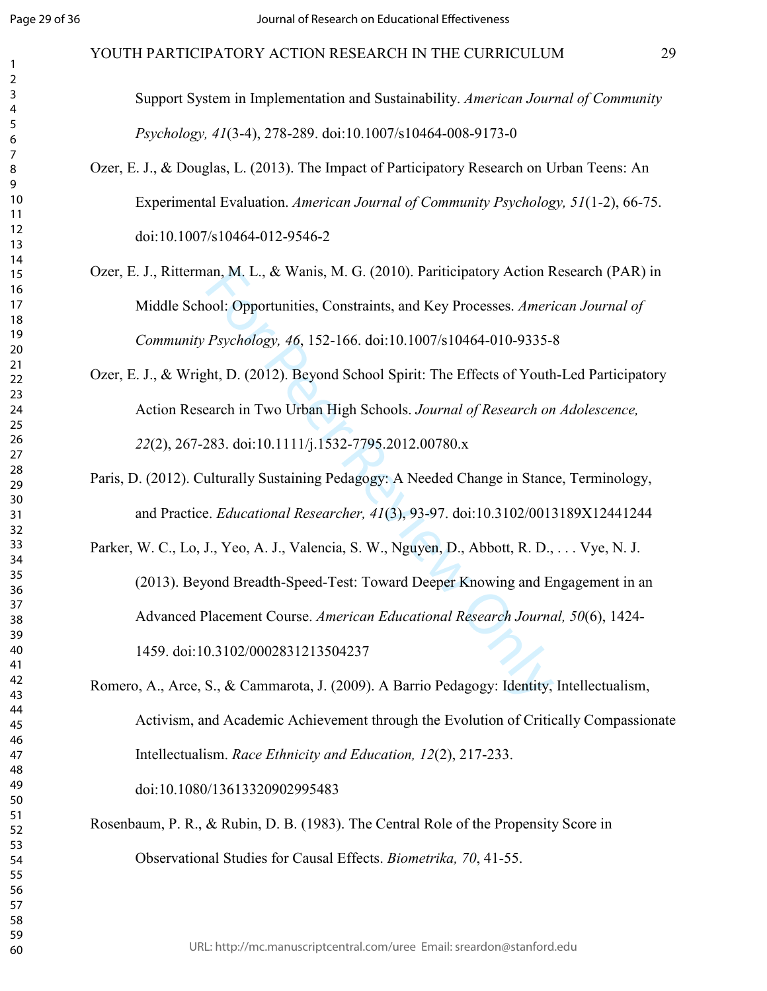# YOUTH PARTICIPATORY ACTION RESEARCH IN THE CURRICULUM 29

Support System in Implementation and Sustainability. *American Journal of Community Psychology, 41*(3-4), 278-289. doi:10.1007/s10464-008-9173-0

- Ozer, E. J., & Douglas, L. (2013). The Impact of Participatory Research on Urban Teens: An Experimental Evaluation. *American Journal of Community Psychology, 51*(1-2), 66-75. doi:10.1007/s10464-012-9546-2
- Ozer, E. J., Ritterman, M. L., & Wanis, M. G. (2010). Pariticipatory Action Research (PAR) in Middle School: Opportunities, Constraints, and Key Processes. *American Journal of Community Psychology, 46*, 152-166. doi:10.1007/s10464-010-9335-8
- Ozer, E. J., & Wright, D. (2012). Beyond School Spirit: The Effects of Youth-Led Participatory Action Research in Two Urban High Schools. *Journal of Research on Adolescence,*  (2), 267-283. doi:10.1111/j.1532-7795.2012.00780.x
- Paris, D. (2012). Culturally Sustaining Pedagogy: A Needed Change in Stance, Terminology, and Practice. *Educational Researcher, 41*(3), 93-97. doi:10.3102/0013189X12441244
- an, M. L., & Wanis, M. G. (2010). Participatory Action R<br>cool: Opportunities, Constraints, and Key Processes. Ameri<br>Psychology, 46, 152-166. doi:10.1007/s10464-010-9335-4<br>ht, D. (2012). Beyond School Spirit: The Effects of Parker, W. C., Lo, J., Yeo, A. J., Valencia, S. W., Nguyen, D., Abbott, R. D., . . . Vye, N. J. (2013). Beyond Breadth-Speed-Test: Toward Deeper Knowing and Engagement in an Advanced Placement Course. *American Educational Research Journal, 50*(6), 1424- 1459. doi:10.3102/0002831213504237
- Romero, A., Arce, S., & Cammarota, J. (2009). A Barrio Pedagogy: Identity, Intellectualism, Activism, and Academic Achievement through the Evolution of Critically Compassionate Intellectualism. *Race Ethnicity and Education, 12*(2), 217-233. doi:10.1080/13613320902995483

Rosenbaum, P. R., & Rubin, D. B. (1983). The Central Role of the Propensity Score in Observational Studies for Causal Effects. *Biometrika, 70*, 41-55.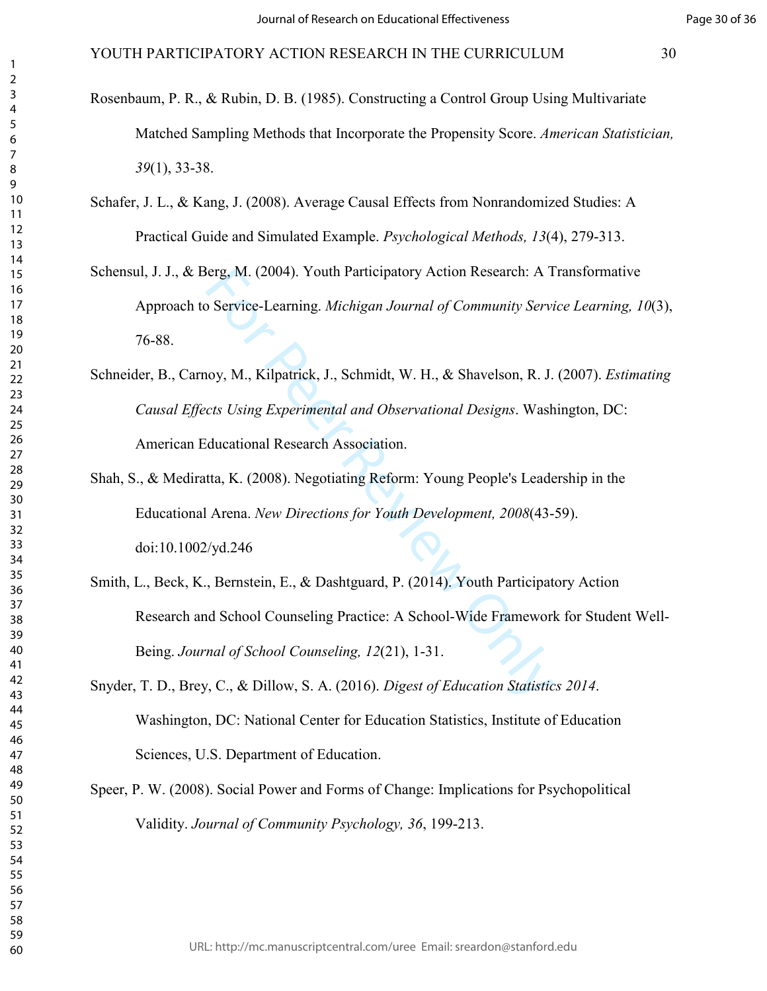- Rosenbaum, P. R., & Rubin, D. B. (1985). Constructing a Control Group Using Multivariate Matched Sampling Methods that Incorporate the Propensity Score. *American Statistician,*  (1), 33-38.
- Schafer, J. L., & Kang, J. (2008). Average Causal Effects from Nonrandomized Studies: A Practical Guide and Simulated Example. *Psychological Methods, 13*(4), 279-313.
- Schensul, J. J., & Berg, M. (2004). Youth Participatory Action Research: A Transformative Approach to Service-Learning. *Michigan Journal of Community Service Learning, 10*(3), 76-88.
- Schneider, B., Carnoy, M., Kilpatrick, J., Schmidt, W. H., & Shavelson, R. J. (2007). *Estimating Causal Effects Using Experimental and Observational Designs*. Washington, DC: American Educational Research Association.
- Shah, S., & Mediratta, K. (2008). Negotiating Reform: Young People's Leadership in the Educational Arena. *New Directions for Youth Development, 2008*(43-59). doi:10.1002/yd.246
- ierg, M. (2004). Youth Participatory Action Research: A T<br>
Service-Learning. *Michigan Journal of Community Servico-Learning. Michigan Journal of Community Servico,*<br>
Noy, M., Kilpatrick, J., Schmidt, W. H., & Shavelson, R Smith, L., Beck, K., Bernstein, E., & Dashtguard, P. (2014). Youth Participatory Action Research and School Counseling Practice: A School-Wide Framework for Student Well-Being. *Journal of School Counseling, 12*(21), 1-31.

Snyder, T. D., Brey, C., & Dillow, S. A. (2016). *Digest of Education Statistics 2014*. Washington, DC: National Center for Education Statistics, Institute of Education Sciences, U.S. Department of Education.

Speer, P. W. (2008). Social Power and Forms of Change: Implications for Psychopolitical Validity. *Journal of Community Psychology, 36*, 199-213.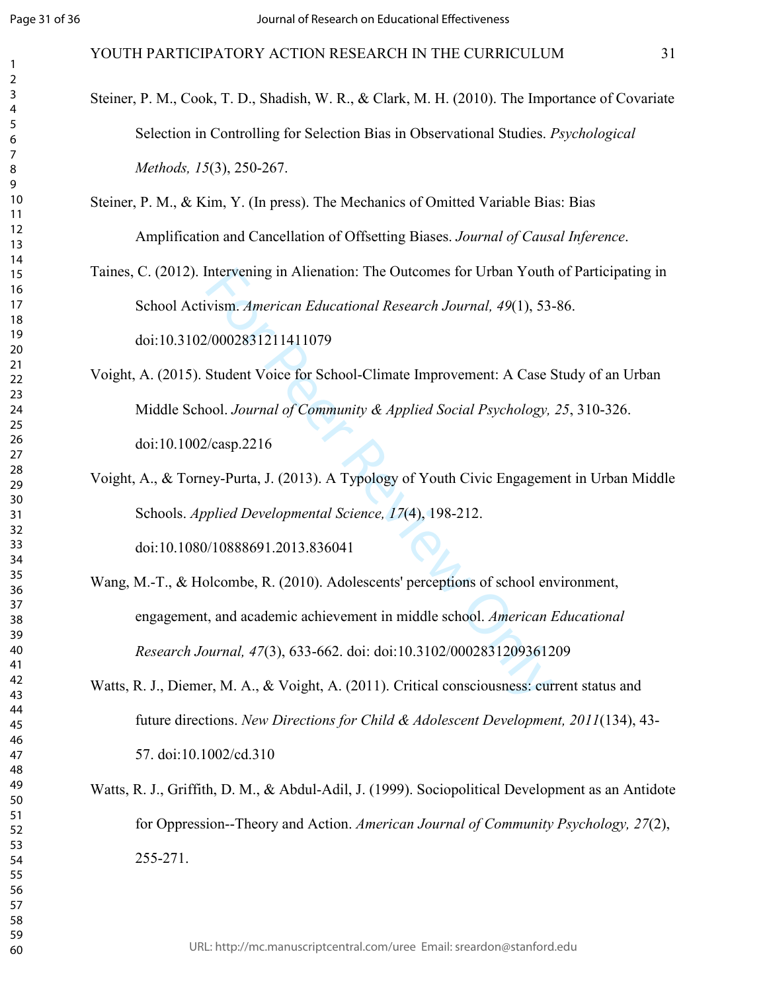Steiner, P. M., Cook, T. D., Shadish, W. R., & Clark, M. H. (2010). The Importance of Covariate Selection in Controlling for Selection Bias in Observational Studies. *Psychological Methods, 15*(3), 250-267.

# Steiner, P. M., & Kim, Y. (In press). The Mechanics of Omitted Variable Bias: Bias Amplification and Cancellation of Offsetting Biases. *Journal of Causal Inference*.

Taines, C. (2012). Intervening in Alienation: The Outcomes for Urban Youth of Participating in School Activism. *American Educational Research Journal, 49*(1), 53-86. doi:10.3102/0002831211411079

Intervening in Alienation: The Outcomes for Urban Youth<br>vism. American Educational Research Journal, 49(1), 53-<br>//0002831211411079<br>Student Voice for School-Climate Improvement: A Case S<br>ool. Journal of Community & Applied Voight, A. (2015). Student Voice for School-Climate Improvement: A Case Study of an Urban Middle School. *Journal of Community & Applied Social Psychology, 25*, 310-326. doi:10.1002/casp.2216

Voight, A., & Torney-Purta, J. (2013). A Typology of Youth Civic Engagement in Urban Middle Schools. *Applied Developmental Science, 17*(4), 198-212. doi:10.1080/10888691.2013.836041

Wang, M.-T., & Holcombe, R. (2010). Adolescents' perceptions of school environment, engagement, and academic achievement in middle school. *American Educational Research Journal, 47*(3), 633-662. doi: doi:10.3102/0002831209361209

Watts, R. J., Diemer, M. A., & Voight, A. (2011). Critical consciousness: current status and future directions. *New Directions for Child & Adolescent Development, 2011*(134), 43- 57. doi:10.1002/cd.310

Watts, R. J., Griffith, D. M., & Abdul-Adil, J. (1999). Sociopolitical Development as an Antidote for Oppression--Theory and Action. *American Journal of Community Psychology, 27*(2), 255-271.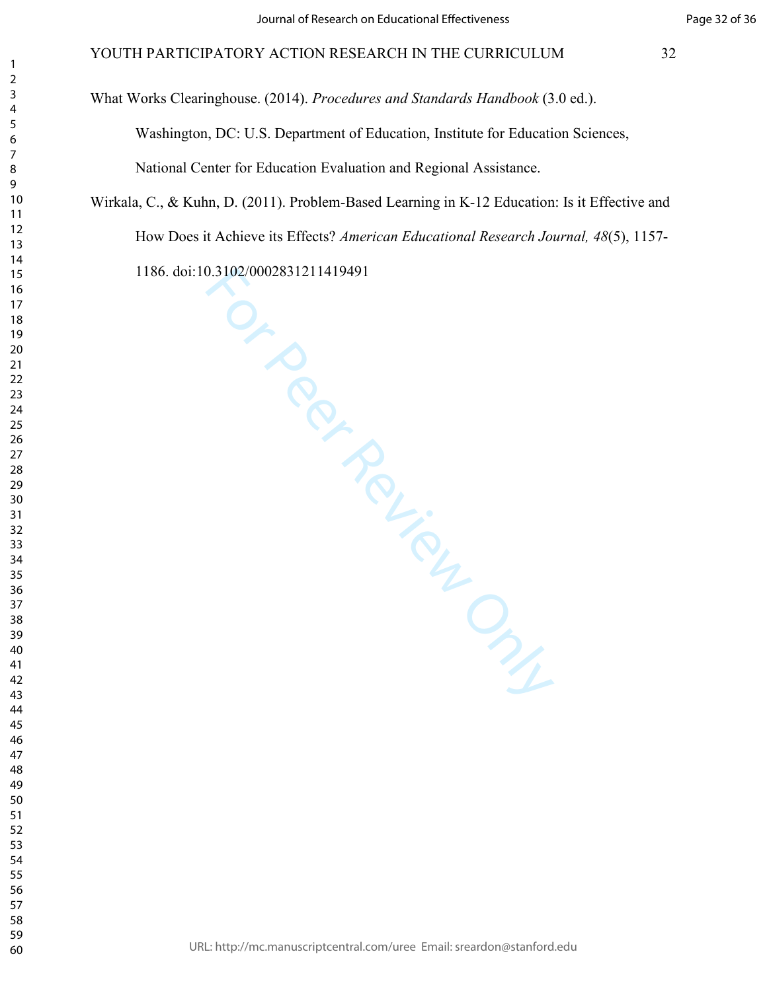What Works Clearinghouse. (2014). *Procedures and Standards Handbook* (3.0 ed.).

Washington, DC: U.S. Department of Education, Institute for Education Sciences, National Center for Education Evaluation and Regional Assistance.

Wirkala, C., & Kuhn, D. (2011). Problem-Based Learning in K-12 Education: Is it Effective and How Does it Achieve its Effects? *American Educational Research Journal, 48*(5), 1157- 1186. doi:10.3102/0002831211419491

TO PROVISOR DAY

URL: http://mc.manuscriptcentral.com/uree Email: sreardon@stanford.edu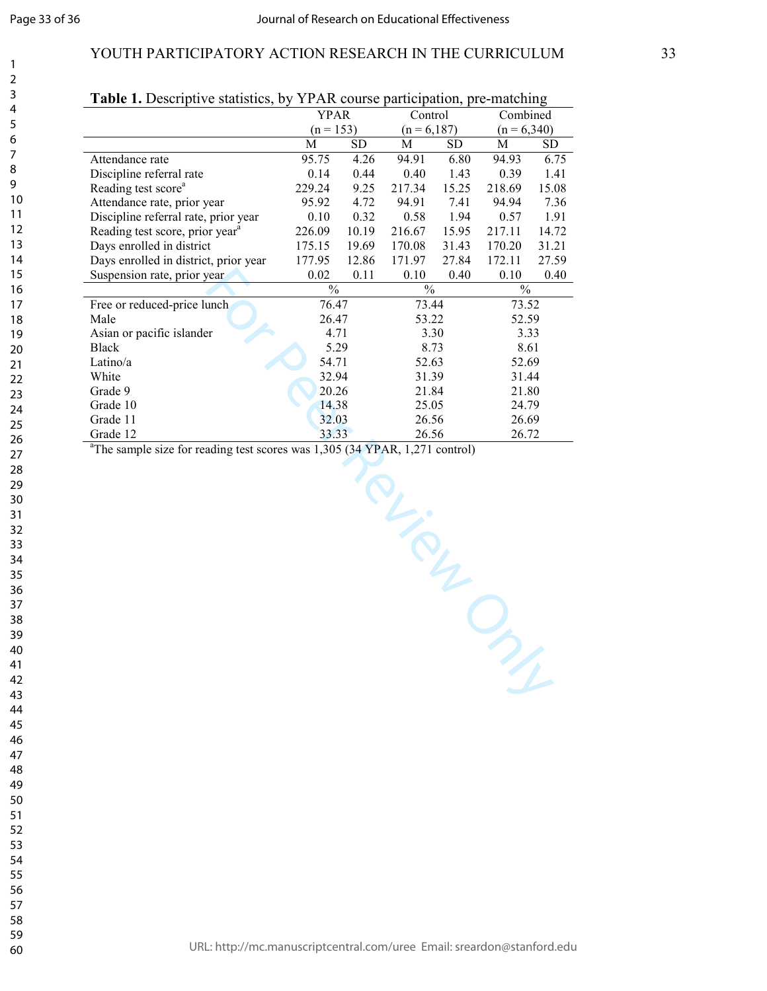$\mathbf{1}$  $\overline{2}$ 3  $\overline{4}$ 5 6  $\overline{7}$ 8 9

# YOUTH PARTICIPATORY ACTION RESEARCH IN THE CURRICULUM 33

| <b>Table 1.</b> Descriptive statistics, by YPAR course participation, pre-matching |               |             |        |                |               |               |  |
|------------------------------------------------------------------------------------|---------------|-------------|--------|----------------|---------------|---------------|--|
|                                                                                    |               | <b>YPAR</b> |        | Control        |               | Combined      |  |
|                                                                                    |               | $(n = 153)$ |        | $(n = 6, 187)$ |               | $(n = 6,340)$ |  |
|                                                                                    | M             | SD          | M      | SD             | M             | SD            |  |
| Attendance rate                                                                    | 95.75         | 4.26        | 94.91  | 6.80           | 94.93         | 6.75          |  |
| Discipline referral rate                                                           | 0.14          | 0.44        | 0.40   | 1.43           | 0.39          | 1.41          |  |
| Reading test score <sup>a</sup>                                                    | 229.24        | 9.25        | 217.34 | 15.25          | 218.69        | 15.08         |  |
| Attendance rate, prior year                                                        | 95.92         | 4.72        | 94.91  | 7.41           | 94.94         | 7.36          |  |
| Discipline referral rate, prior year                                               | 0.10          | 0.32        | 0.58   | 1.94           | 0.57          | 1.91          |  |
| Reading test score, prior year <sup>a</sup>                                        | 226.09        | 10.19       | 216.67 | 15.95          | 217.11        | 14.72         |  |
| Days enrolled in district                                                          | 175.15        | 19.69       | 170.08 | 31.43          | 170.20        | 31.21         |  |
| Days enrolled in district, prior year                                              | 177.95        | 12.86       | 171.97 | 27.84          | 172.11        | 27.59         |  |
| Suspension rate, prior year                                                        | 0.02          | 0.11        | 0.10   | 0.40           | 0.10          | 0.40          |  |
|                                                                                    | $\frac{0}{0}$ |             | $\%$   |                | $\frac{0}{0}$ |               |  |
| Free or reduced-price lunch                                                        |               | 76.47       |        | 73.44          |               | 73.52         |  |
| Male                                                                               |               | 26.47       |        | 53.22          |               | 52.59         |  |
| Asian or pacific islander                                                          |               | 4.71        |        | 3.30           |               | 3.33          |  |
| <b>Black</b>                                                                       |               | 5.29        |        | 8.73           |               | 8.61          |  |
| Latino/a                                                                           |               | 54.71       |        | 52.63          |               | 52.69         |  |
| White                                                                              |               | 32.94       |        | 31.39          |               | 31.44         |  |
| Grade 9                                                                            |               | 20.26       |        | 21.84          |               | 21.80         |  |
| Grade 10                                                                           |               | 14.38       |        | 25.05          |               | 24.79         |  |
| Grade 11                                                                           |               | 32.03       |        | 26.56          |               | 26.69         |  |
| Grade 12                                                                           |               | 33.33       |        | 26.56          |               | 26.72         |  |

# **Table 1.** Descriptive statistics, by YPAR course participation, pre-matching

Grade 12 33.33 26.56 26.72<br>
<sup>a</sup>The sample size for reading test scores was 1,305 (34 YPAR, 1,271 control)

TRU-SOUTH ONLY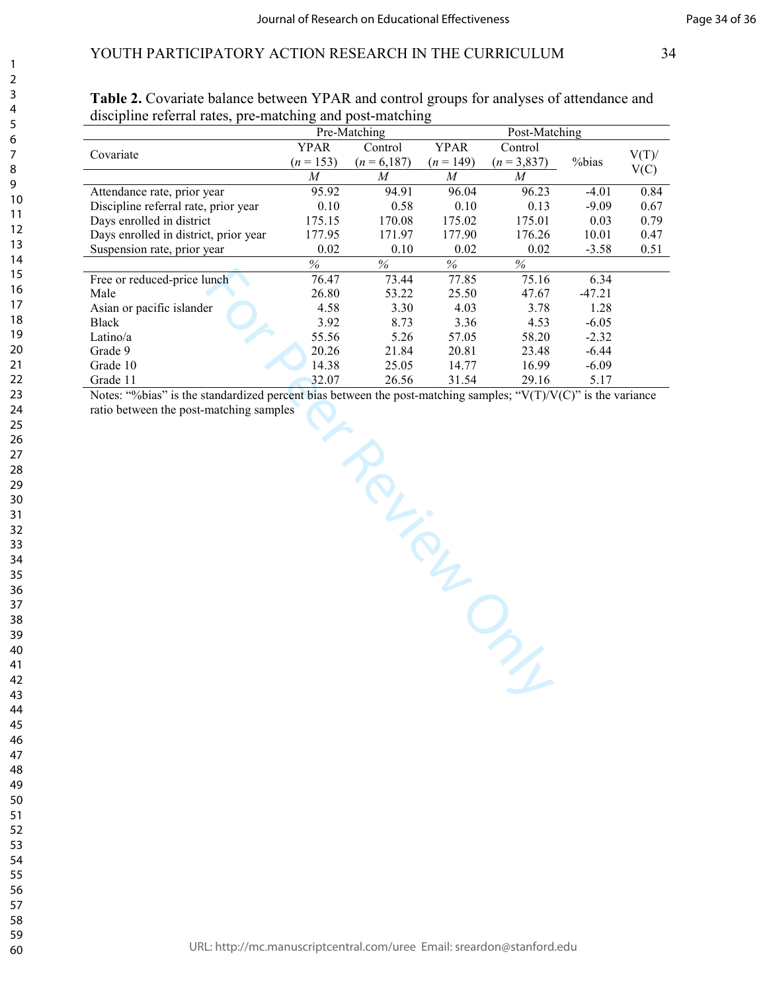|                                       | Pre-Matching |                              |             | Post-Matching |          |          |
|---------------------------------------|--------------|------------------------------|-------------|---------------|----------|----------|
|                                       | <b>YPAR</b>  | Control                      | <b>YPAR</b> | Control       |          |          |
| Covariate                             | $(n = 153)$  | $(n = 6,187)$<br>$(n = 149)$ |             | $(n = 3,837)$ | %bias    | $V(T)$ / |
|                                       | M            | M                            | M           | M             |          | V(C)     |
| Attendance rate, prior year           | 95.92        | 94.91                        | 96.04       | 96.23         | $-4.01$  | 0.84     |
| Discipline referral rate, prior year  | 0.10         | 0.58                         | 0.10        | 0.13          | $-9.09$  | 0.67     |
| Days enrolled in district             | 175.15       | 170.08                       | 175.02      | 175.01        | 0.03     | 0.79     |
| Days enrolled in district, prior year | 177.95       | 171.97                       | 177.90      | 176.26        | 10.01    | 0.47     |
| Suspension rate, prior year           | 0.02         | 0.10                         | 0.02        | 0.02          | $-3.58$  | 0.51     |
|                                       | %            | %                            | $\%$        | %             |          |          |
| Free or reduced-price lunch           | 76.47        | 73.44                        | 77.85       | 75.16         | 6.34     |          |
| Male                                  | 26.80        | 53.22                        | 25.50       | 47.67         | $-47.21$ |          |
| Asian or pacific islander             | 4.58         | 3.30                         | 4.03        | 3.78          | 1.28     |          |
| Black                                 | 3.92         | 8.73                         | 3.36        | 4.53          | $-6.05$  |          |
| Latino/a                              | 55.56        | 5.26                         | 57.05       | 58.20         | $-2.32$  |          |
| Grade 9                               | 20.26        | 21.84                        | 20.81       | 23.48         | $-6.44$  |          |
| Grade 10                              | 14.38        | 25.05                        | 14.77       | 16.99         | $-6.09$  |          |
| Grade 11                              | 32.07        | 26.56                        | 31.54       | 29.16         | 5.17     |          |

|                                                           | Table 2. Covariate balance between YPAR and control groups for analyses of attendance and |
|-----------------------------------------------------------|-------------------------------------------------------------------------------------------|
| discipline referral rates, pre-matching and post-matching |                                                                                           |

We samples Ct Review Only Notes: "%bias" is the standardized percent bias between the post-matching samples; " $V(T)/V(C)$ " is the variance ratio between the post-matching samples

URL: http://mc.manuscriptcentral.com/uree Email: sreardon@stanford.edu

58 59 60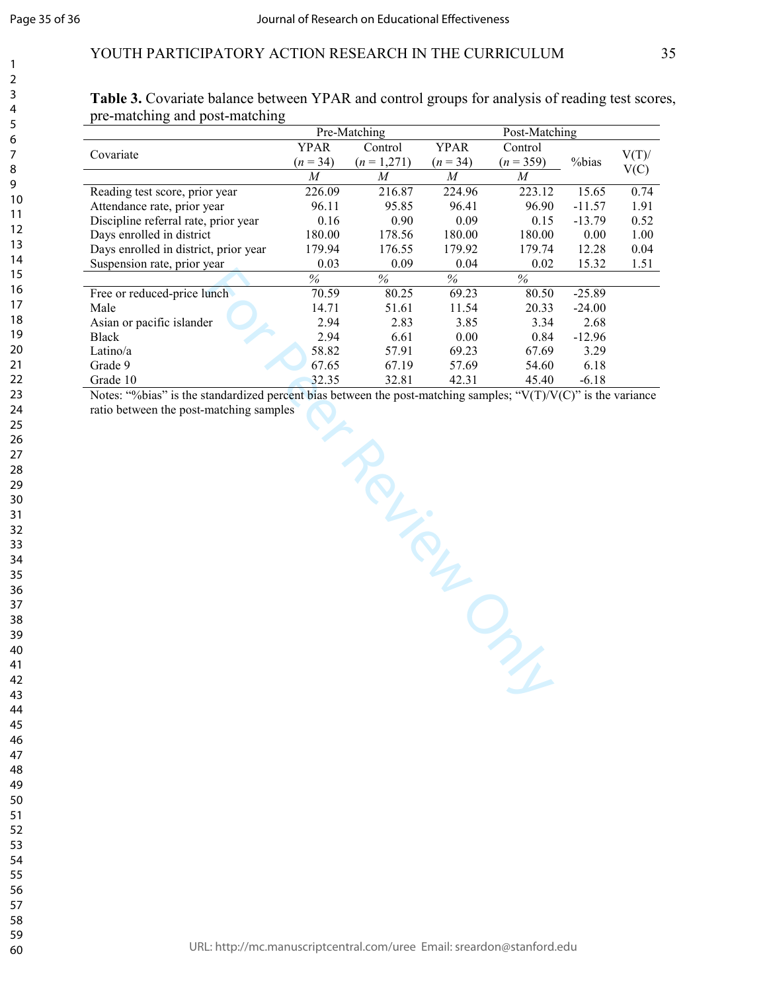# YOUTH PARTICIPATORY ACTION RESEARCH IN THE CURRICULUM 35

|                                       |             | Pre-Matching |             |             |          |          |
|---------------------------------------|-------------|--------------|-------------|-------------|----------|----------|
| Covariate                             | <b>YPAR</b> | Control      | <b>YPAR</b> | Control     |          | $V(T)$ / |
|                                       | $(n = 34)$  | $(n=1,271)$  | $(n = 34)$  | $(n = 359)$ | %bias    | V(C)     |
|                                       | M           | M            | M           | M           |          |          |
| Reading test score, prior year        | 226.09      | 216.87       | 224.96      | 223.12      | 15.65    | 0.74     |
| Attendance rate, prior year           | 96.11       | 95.85        | 96.41       | 96.90       | $-11.57$ | 1.91     |
| Discipline referral rate, prior year  | 0.16        | 0.90         | 0.09        | 0.15        | $-13.79$ | 0.52     |
| Days enrolled in district             | 180.00      | 178.56       | 180.00      | 180.00      | 0.00     | 1.00     |
| Days enrolled in district, prior year | 179.94      | 176.55       | 179.92      | 179.74      | 12.28    | 0.04     |
| Suspension rate, prior year           | 0.03        | 0.09         | 0.04        | 0.02        | 15.32    | 1.51     |
|                                       | $\%$        | $\%$         | $\%$        | $\%$        |          |          |
| Free or reduced-price lunch           | 70.59       | 80.25        | 69.23       | 80.50       | $-25.89$ |          |
| Male                                  | 14.71       | 51.61        | 11.54       | 20.33       | $-24.00$ |          |
| Asian or pacific islander             | 2.94        | 2.83         | 3.85        | 3.34        | 2.68     |          |
| <b>Black</b>                          | 2.94        | 6.61         | 0.00        | 0.84        | $-12.96$ |          |
| Latino/a                              | 58.82       | 57.91        | 69.23       | 67.69       | 3.29     |          |
| Grade 9                               | 67.65       | 67.19        | 57.69       | 54.60       | 6.18     |          |
| Grade 10                              | 32.35       | 32.81        | 42.31       | 45.40       | $-6.18$  |          |

Table 3. Covariate balance between YPAR and control groups for analysis of reading test scores, pre-matching and post-matching

 $\frac{32.35}{\text{percent bias between the post-matching samples}}$ ,  $\frac{42.31}{\text{vV(T)/V(C)}^2}$  is the varia<br>the solution of the post-matching samples;  $\frac{42.31}{\text{vV(T)/V(C)}^2}$  is the varia<br>the varia Notes: "%bias" is the standardized percent bias between the post-matching samples; "V(T)/V(C)" is the variance ratio between the post-matching samples